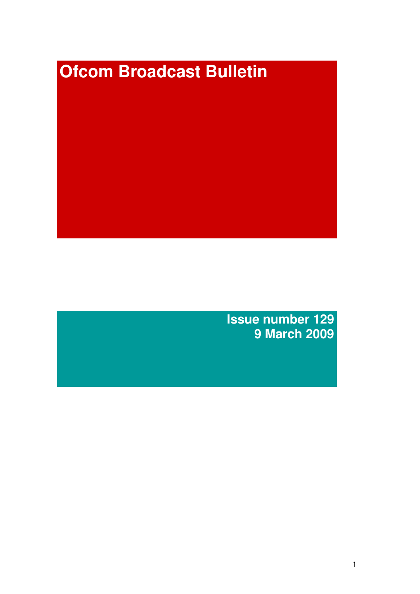# **Ofcom Broadcast Bulletin**

**Issue number 129 9 March 2009**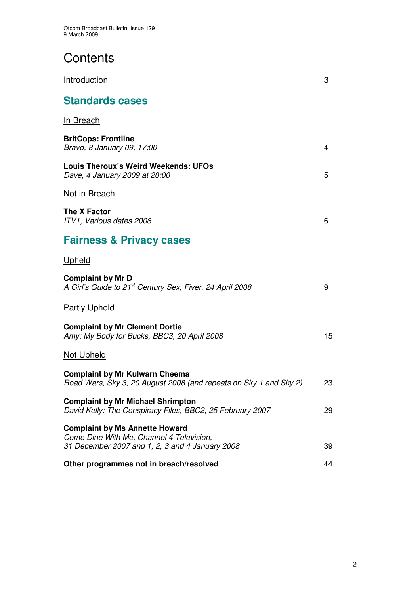# **Contents**

| Introduction                                                                                                                         | 3  |
|--------------------------------------------------------------------------------------------------------------------------------------|----|
| <b>Standards cases</b>                                                                                                               |    |
| <u>In Breach</u>                                                                                                                     |    |
| <b>BritCops: Frontline</b><br>Bravo, 8 January 09, 17:00                                                                             | 4  |
| <b>Louis Theroux's Weird Weekends: UFOs</b><br>Dave, 4 January 2009 at 20:00                                                         | 5  |
| Not in Breach                                                                                                                        |    |
| <b>The X Factor</b><br>ITV1, Various dates 2008                                                                                      | 6  |
| <b>Fairness &amp; Privacy cases</b>                                                                                                  |    |
| Upheld                                                                                                                               |    |
| <b>Complaint by Mr D</b><br>A Girl's Guide to 21 <sup>st</sup> Century Sex, Fiver, 24 April 2008                                     | 9  |
| <b>Partly Upheld</b>                                                                                                                 |    |
| <b>Complaint by Mr Clement Dortie</b><br>Amy: My Body for Bucks, BBC3, 20 April 2008                                                 | 15 |
| <b>Not Upheld</b>                                                                                                                    |    |
| <b>Complaint by Mr Kulwarn Cheema</b><br>Road Wars, Sky 3, 20 August 2008 (and repeats on Sky 1 and Sky 2)                           | 23 |
| <b>Complaint by Mr Michael Shrimpton</b><br>David Kelly: The Conspiracy Files, BBC2, 25 February 2007                                | 29 |
| <b>Complaint by Ms Annette Howard</b><br>Come Dine With Me, Channel 4 Television,<br>31 December 2007 and 1, 2, 3 and 4 January 2008 | 39 |
| Other programmes not in breach/resolved                                                                                              | 44 |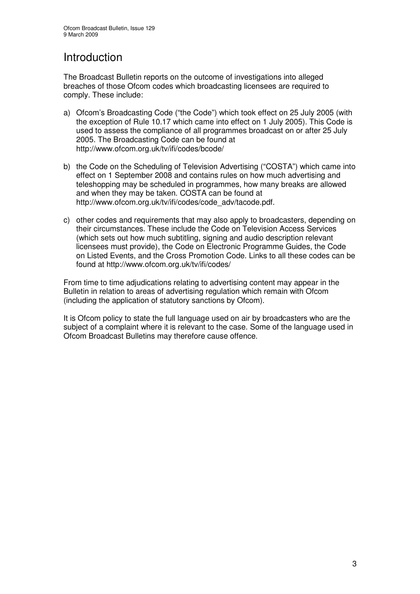# Introduction

The Broadcast Bulletin reports on the outcome of investigations into alleged breaches of those Ofcom codes which broadcasting licensees are required to comply. These include:

- a) Ofcom's Broadcasting Code ("the Code") which took effect on 25 July 2005 (with the exception of Rule 10.17 which came into effect on 1 July 2005). This Code is used to assess the compliance of all programmes broadcast on or after 25 July 2005. The Broadcasting Code can be found at http://www.ofcom.org.uk/tv/ifi/codes/bcode/
- b) the Code on the Scheduling of Television Advertising ("COSTA") which came into effect on 1 September 2008 and contains rules on how much advertising and teleshopping may be scheduled in programmes, how many breaks are allowed and when they may be taken. COSTA can be found at http://www.ofcom.org.uk/tv/ifi/codes/code\_adv/tacode.pdf.
- c) other codes and requirements that may also apply to broadcasters, depending on their circumstances. These include the Code on Television Access Services (which sets out how much subtitling, signing and audio description relevant licensees must provide), the Code on Electronic Programme Guides, the Code on Listed Events, and the Cross Promotion Code. Links to all these codes can be found at http://www.ofcom.org.uk/tv/ifi/codes/

From time to time adjudications relating to advertising content may appear in the Bulletin in relation to areas of advertising regulation which remain with Ofcom (including the application of statutory sanctions by Ofcom).

It is Ofcom policy to state the full language used on air by broadcasters who are the subject of a complaint where it is relevant to the case. Some of the language used in Ofcom Broadcast Bulletins may therefore cause offence.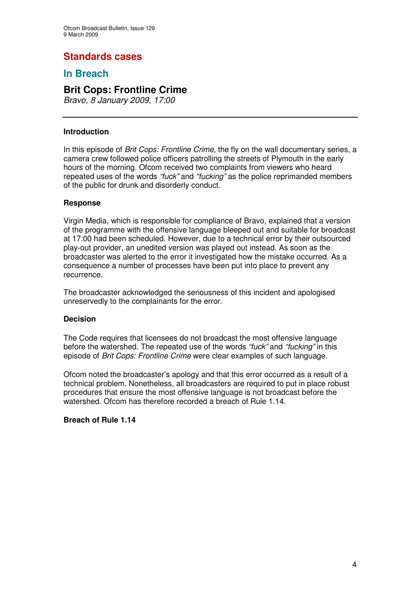# **Standards cases**

# **In Breach**

# **Brit Cops: Frontline Crime**

*Bravo, 8 January 2009, 17:00*

### **Introduction**

In this episode of *Brit Cops: Frontline Crime*, the fly on the wall documentary series, a camera crew followed police officers patrolling the streets of Plymouth in the early hours of the morning. Ofcom received two complaints from viewers who heard repeated uses of the words *"fuck"* and *"fucking"* as the police reprimanded members of the public for drunk and disorderly conduct.

### **Response**

Virgin Media, which is responsible for compliance of Bravo, explained that a version of the programme with the offensive language bleeped out and suitable for broadcast at 17:00 had been scheduled. However, due to a technical error by their outsourced play-out provider, an unedited version was played out instead. As soon as the broadcaster was alerted to the error it investigated how the mistake occurred. As a consequence a number of processes have been put into place to prevent any recurrence.

The broadcaster acknowledged the seriousness of this incident and apologised unreservedly to the complainants for the error.

### **Decision**

The Code requires that licensees do not broadcast the most offensive language before the watershed. The repeated use of the words *"fuck"* and *"fucking"* in this episode of *Brit Cops: Frontline Crime* were clear examples of such language.

Ofcom noted the broadcaster's apology and that this error occurred as a result of a technical problem. Nonetheless, all broadcasters are required to put in place robust procedures that ensure the most offensive language is not broadcast before the watershed. Ofcom has therefore recorded a breach of Rule 1.14.

### **Breach of Rule 1.14**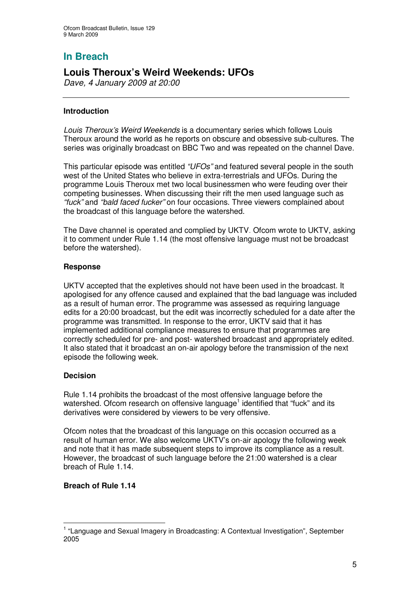# **In Breach**

# **Louis Theroux's Weird Weekends: UFOs**

*Dave, 4 January 2009 at 20:00*

### **Introduction**

*Louis Theroux's Weird Weekends* is a documentary series which follows Louis Theroux around the world as he reports on obscure and obsessive sub-cultures. The series was originally broadcast on BBC Two and was repeated on the channel Dave.

This particular episode was entitled *"UFOs"* and featured several people in the south west of the United States who believe in extra-terrestrials and UFOs. During the programme Louis Theroux met two local businessmen who were feuding over their competing businesses. When discussing their rift the men used language such as *"fuck"* and *"bald faced fucker"* on four occasions. Three viewers complained about the broadcast of this language before the watershed.

The Dave channel is operated and complied by UKTV. Ofcom wrote to UKTV, asking it to comment under Rule 1.14 (the most offensive language must not be broadcast before the watershed).

### **Response**

UKTV accepted that the expletives should not have been used in the broadcast. It apologised for any offence caused and explained that the bad language was included as a result of human error. The programme was assessed as requiring language edits for a 20:00 broadcast, but the edit was incorrectly scheduled for a date after the programme was transmitted. In response to the error, UKTV said that it has implemented additional compliance measures to ensure that programmes are correctly scheduled for pre- and post- watershed broadcast and appropriately edited. It also stated that it broadcast an on-air apology before the transmission of the next episode the following week.

### **Decision**

Rule 1.14 prohibits the broadcast of the most offensive language before the watershed. Ofcom research on offensive language<sup>1</sup> identified that "fuck" and its derivatives were considered by viewers to be very offensive.

Ofcom notes that the broadcast of this language on this occasion occurred as a result of human error. We also welcome UKTV's on-air apology the following week and note that it has made subsequent steps to improve its compliance as a result. However, the broadcast of such language before the 21:00 watershed is a clear breach of Rule 1.14.

### **Breach of Rule 1.14**

<sup>&</sup>lt;sup>1</sup> "Language and Sexual Imagery in Broadcasting: A Contextual Investigation", September 2005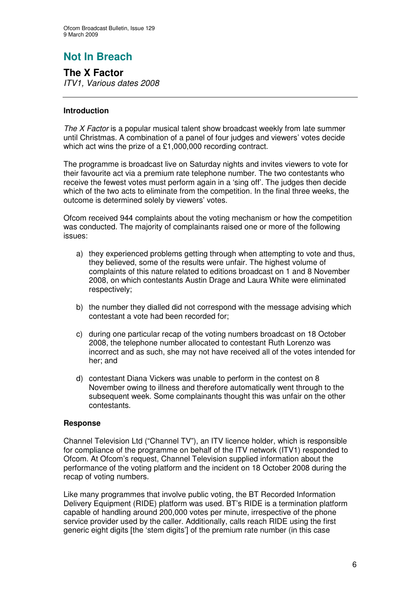# **Not In Breach**

**The X Factor** *ITV1, Various dates 2008*

### **Introduction**

*The X Factor* is a popular musical talent show broadcast weekly from late summer until Christmas. A combination of a panel of four judges and viewers' votes decide which act wins the prize of a £1,000,000 recording contract.

The programme is broadcast live on Saturday nights and invites viewers to vote for their favourite act via a premium rate telephone number. The two contestants who receive the fewest votes must perform again in a 'sing off'. The judges then decide which of the two acts to eliminate from the competition. In the final three weeks, the outcome is determined solely by viewers' votes.

Ofcom received 944 complaints about the voting mechanism or how the competition was conducted. The majority of complainants raised one or more of the following issues:

- a) they experienced problems getting through when attempting to vote and thus, they believed, some of the results were unfair. The highest volume of complaints of this nature related to editions broadcast on 1 and 8 November 2008, on which contestants Austin Drage and Laura White were eliminated respectively;
- b) the number they dialled did not correspond with the message advising which contestant a vote had been recorded for;
- c) during one particular recap of the voting numbers broadcast on 18 October 2008, the telephone number allocated to contestant Ruth Lorenzo was incorrect and as such, she may not have received all of the votes intended for her; and
- d) contestant Diana Vickers was unable to perform in the contest on 8 November owing to illness and therefore automatically went through to the subsequent week. Some complainants thought this was unfair on the other contestants.

### **Response**

Channel Television Ltd ("Channel TV"), an ITV licence holder, which is responsible for compliance of the programme on behalf of the ITV network (ITV1) responded to Ofcom. At Ofcom's request, Channel Television supplied information about the performance of the voting platform and the incident on 18 October 2008 during the recap of voting numbers.

Like many programmes that involve public voting, the BT Recorded Information Delivery Equipment (RIDE) platform was used. BT's RIDE is a termination platform capable of handling around 200,000 votes per minute, irrespective of the phone service provider used by the caller. Additionally, calls reach RIDE using the first generic eight digits [the 'stem digits'] of the premium rate number (in this case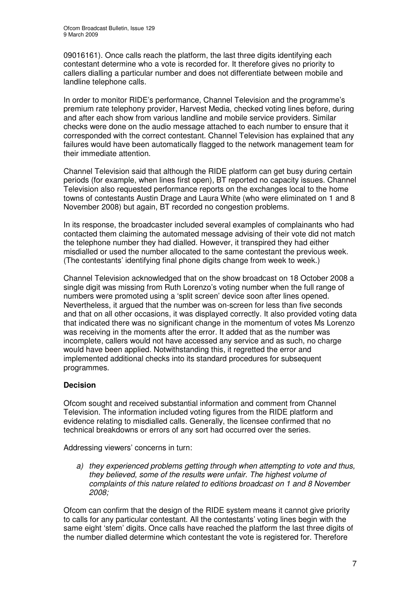09016161). Once calls reach the platform, the last three digits identifying each contestant determine who a vote is recorded for. It therefore gives no priority to callers dialling a particular number and does not differentiate between mobile and landline telephone calls.

In order to monitor RIDE's performance, Channel Television and the programme's premium rate telephony provider, Harvest Media, checked voting lines before, during and after each show from various landline and mobile service providers. Similar checks were done on the audio message attached to each number to ensure that it corresponded with the correct contestant. Channel Television has explained that any failures would have been automatically flagged to the network management team for their immediate attention.

Channel Television said that although the RIDE platform can get busy during certain periods (for example, when lines first open), BT reported no capacity issues. Channel Television also requested performance reports on the exchanges local to the home towns of contestants Austin Drage and Laura White (who were eliminated on 1 and 8 November 2008) but again, BT recorded no congestion problems.

In its response, the broadcaster included several examples of complainants who had contacted them claiming the automated message advising of their vote did not match the telephone number they had dialled. However, it transpired they had either misdialled or used the number allocated to the same contestant the previous week. (The contestants' identifying final phone digits change from week to week.)

Channel Television acknowledged that on the show broadcast on 18 October 2008 a single digit was missing from Ruth Lorenzo's voting number when the full range of numbers were promoted using a 'split screen' device soon after lines opened. Nevertheless, it argued that the number was on-screen for less than five seconds and that on all other occasions, it was displayed correctly. It also provided voting data that indicated there was no significant change in the momentum of votes Ms Lorenzo was receiving in the moments after the error. It added that as the number was incomplete, callers would not have accessed any service and as such, no charge would have been applied. Notwithstanding this, it regretted the error and implemented additional checks into its standard procedures for subsequent programmes.

### **Decision**

Ofcom sought and received substantial information and comment from Channel Television. The information included voting figures from the RIDE platform and evidence relating to misdialled calls. Generally, the licensee confirmed that no technical breakdowns or errors of any sort had occurred over the series.

Addressing viewers' concerns in turn:

*a) they experienced problems getting through when attempting to vote and thus, they believed, some of the results were unfair. The highest volume of complaints of this nature related to editions broadcast on 1 and 8 November 2008;*

Ofcom can confirm that the design of the RIDE system means it cannot give priority to calls for any particular contestant. All the contestants' voting lines begin with the same eight 'stem' digits. Once calls have reached the platform the last three digits of the number dialled determine which contestant the vote is registered for. Therefore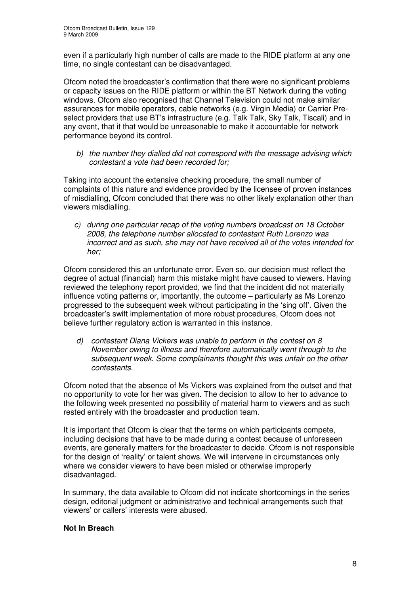even if a particularly high number of calls are made to the RIDE platform at any one time, no single contestant can be disadvantaged.

Ofcom noted the broadcaster's confirmation that there were no significant problems or capacity issues on the RIDE platform or within the BT Network during the voting windows. Ofcom also recognised that Channel Television could not make similar assurances for mobile operators, cable networks (e.g. Virgin Media) or Carrier Preselect providers that use BT's infrastructure (e.g. Talk Talk, Sky Talk, Tiscali) and in any event, that it that would be unreasonable to make it accountable for network performance beyond its control.

*b) the number they dialled did not correspond with the message advising which contestant a vote had been recorded for;*

Taking into account the extensive checking procedure, the small number of complaints of this nature and evidence provided by the licensee of proven instances of misdialling, Ofcom concluded that there was no other likely explanation other than viewers misdialling.

*c) during one particular recap of the voting numbers broadcast on 18 October 2008, the telephone number allocated to contestant Ruth Lorenzo was incorrect and as such, she may not have received all of the votes intended for her;*

Ofcom considered this an unfortunate error. Even so, our decision must reflect the degree of actual (financial) harm this mistake might have caused to viewers. Having reviewed the telephony report provided, we find that the incident did not materially influence voting patterns or, importantly, the outcome – particularly as Ms Lorenzo progressed to the subsequent week without participating in the 'sing off'. Given the broadcaster's swift implementation of more robust procedures, Ofcom does not believe further regulatory action is warranted in this instance.

*d) contestant Diana Vickers was unable to perform in the contest on 8 November owing to illness and therefore automatically went through to the subsequent week. Some complainants thought this was unfair on the other contestants.*

Ofcom noted that the absence of Ms Vickers was explained from the outset and that no opportunity to vote for her was given. The decision to allow to her to advance to the following week presented no possibility of material harm to viewers and as such rested entirely with the broadcaster and production team.

It is important that Ofcom is clear that the terms on which participants compete, including decisions that have to be made during a contest because of unforeseen events, are generally matters for the broadcaster to decide. Ofcom is not responsible for the design of 'reality' or talent shows. We will intervene in circumstances only where we consider viewers to have been misled or otherwise improperly disadvantaged.

In summary, the data available to Ofcom did not indicate shortcomings in the series design, editorial judgment or administrative and technical arrangements such that viewers' or callers' interests were abused.

### **Not In Breach**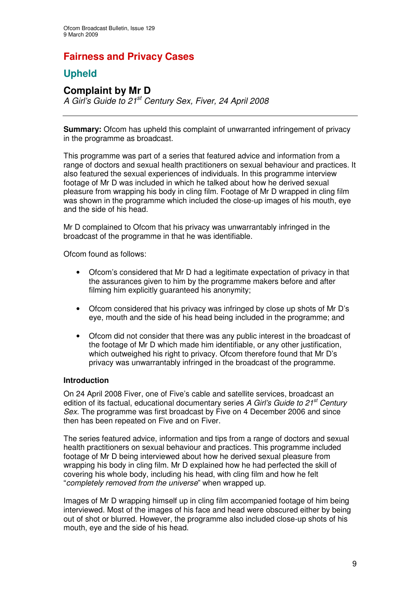# **Fairness and Privacy Cases**

# **Upheld**

# **Complaint by Mr D**

*A Girl's Guide to 21 st Century Sex, Fiver, 24 April 2008*

**Summary:** Ofcom has upheld this complaint of unwarranted infringement of privacy in the programme as broadcast.

This programme was part of a series that featured advice and information from a range of doctors and sexual health practitioners on sexual behaviour and practices. It also featured the sexual experiences of individuals. In this programme interview footage of Mr D was included in which he talked about how he derived sexual pleasure from wrapping his body in cling film. Footage of Mr D wrapped in cling film was shown in the programme which included the close-up images of his mouth, eye and the side of his head.

Mr D complained to Ofcom that his privacy was unwarrantably infringed in the broadcast of the programme in that he was identifiable.

Ofcom found as follows:

- Ofcom's considered that Mr D had a legitimate expectation of privacy in that the assurances given to him by the programme makers before and after filming him explicitly guaranteed his anonymity;
- Ofcom considered that his privacy was infringed by close up shots of Mr D's eye, mouth and the side of his head being included in the programme; and
- Ofcom did not consider that there was any public interest in the broadcast of the footage of Mr D which made him identifiable, or any other justification, which outweighed his right to privacy. Of tom therefore found that Mr D's privacy was unwarrantably infringed in the broadcast of the programme.

### **Introduction**

On 24 April 2008 Fiver, one of Five's cable and satellite services, broadcast an edition of its factual, educational documentary series *A Girl's Guide to 21 st Century Sex.* The programme was first broadcast by Five on 4 December 2006 and since then has been repeated on Five and on Fiver.

The series featured advice, information and tips from a range of doctors and sexual health practitioners on sexual behaviour and practices. This programme included footage of Mr D being interviewed about how he derived sexual pleasure from wrapping his body in cling film. Mr D explained how he had perfected the skill of covering his whole body, including his head, with cling film and how he felt "*completely removed from the universe*" when wrapped up.

Images of Mr D wrapping himself up in cling film accompanied footage of him being interviewed. Most of the images of his face and head were obscured either by being out of shot or blurred. However, the programme also included close-up shots of his mouth, eye and the side of his head.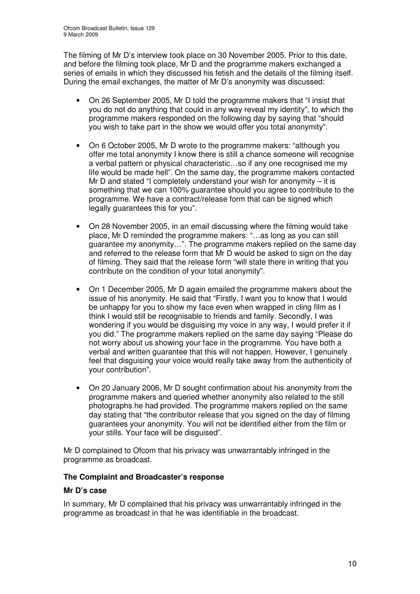The filming of Mr D's interview took place on 30 November 2005. Prior to this date, and before the filming took place, Mr D and the programme makers exchanged a series of emails in which they discussed his fetish and the details of the filming itself. During the email exchanges, the matter of Mr D's anonymity was discussed:

- On 26 September 2005, Mr D told the programme makers that "I insist that you do not do anything that could in any way reveal my identity", to which the programme makers responded on the following day by saying that "should you wish to take part in the show we would offer you total anonymity".
- On 6 October 2005, Mr D wrote to the programme makers: "although you offer me total anonymity I know there is still a chance someone will recognise a verbal pattern or physical characteristic…so if any one recognised me my life would be made hell". On the same day, the programme makers contacted Mr D and stated "I completely understand your wish for anonymity – it is something that we can 100% guarantee should you agree to contribute to the programme. We have a contract/release form that can be signed which legally guarantees this for you".
- On 28 November 2005, in an email discussing where the filming would take place, Mr D reminded the programme makers: "…as long as you can still guarantee my anonymity…". The programme makers replied on the same day and referred to the release form that Mr D would be asked to sign on the day of filming. They said that the release form "will state there in writing that you contribute on the condition of your total anonymity".
- On 1 December 2005, Mr D again emailed the programme makers about the issue of his anonymity. He said that "Firstly, I want you to know that I would be unhappy for you to show my face even when wrapped in cling film as I think I would still be recognisable to friends and family. Secondly, I was wondering if you would be disguising my voice in any way, I would prefer it if you did." The programme makers replied on the same day saying "Please do not worry about us showing your face in the programme. You have both a verbal and written guarantee that this will not happen. However, I genuinely feel that disguising your voice would really take away from the authenticity of your contribution".
- On 20 January 2006, Mr D sought confirmation about his anonymity from the programme makers and queried whether anonymity also related to the still photographs he had provided. The programme makers replied on the same day stating that "the contributor release that you signed on the day of filming guarantees your anonymity. You will not be identified either from the film or your stills. Your face will be disguised".

Mr D complained to Ofcom that his privacy was unwarrantably infringed in the programme as broadcast.

### **The Complaint and Broadcaster's response**

### **Mr D's case**

In summary, Mr D complained that his privacy was unwarrantably infringed in the programme as broadcast in that he was identifiable in the broadcast.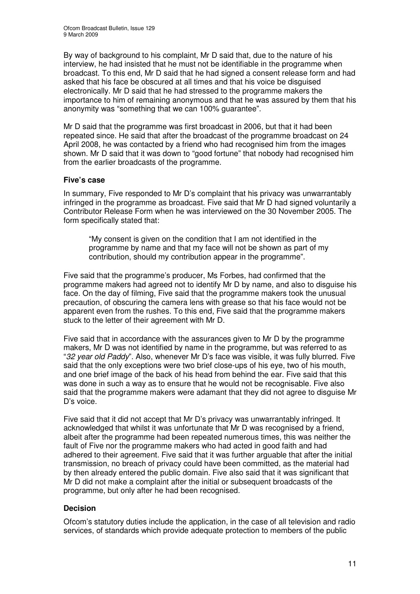By way of background to his complaint, Mr D said that, due to the nature of his interview, he had insisted that he must not be identifiable in the programme when broadcast. To this end, Mr D said that he had signed a consent release form and had asked that his face be obscured at all times and that his voice be disguised electronically. Mr D said that he had stressed to the programme makers the importance to him of remaining anonymous and that he was assured by them that his anonymity was "something that we can 100% guarantee".

Mr D said that the programme was first broadcast in 2006, but that it had been repeated since. He said that after the broadcast of the programme broadcast on 24 April 2008, he was contacted by a friend who had recognised him from the images shown. Mr D said that it was down to "good fortune" that nobody had recognised him from the earlier broadcasts of the programme.

### **Five's case**

In summary, Five responded to Mr D's complaint that his privacy was unwarrantably infringed in the programme as broadcast. Five said that Mr D had signed voluntarily a Contributor Release Form when he was interviewed on the 30 November 2005. The form specifically stated that:

"My consent is given on the condition that I am not identified in the programme by name and that my face will not be shown as part of my contribution, should my contribution appear in the programme".

Five said that the programme's producer, Ms Forbes, had confirmed that the programme makers had agreed not to identify Mr D by name, and also to disguise his face. On the day of filming, Five said that the programme makers took the unusual precaution, of obscuring the camera lens with grease so that his face would not be apparent even from the rushes. To this end, Five said that the programme makers stuck to the letter of their agreement with Mr D.

Five said that in accordance with the assurances given to Mr D by the programme makers, Mr D was not identified by name in the programme, but was referred to as "*32 year old Paddy*". Also, whenever Mr D's face was visible, it was fully blurred. Five said that the only exceptions were two brief close-ups of his eye, two of his mouth, and one brief image of the back of his head from behind the ear. Five said that this was done in such a way as to ensure that he would not be recognisable. Five also said that the programme makers were adamant that they did not agree to disguise Mr D's voice.

Five said that it did not accept that Mr D's privacy was unwarrantably infringed. It acknowledged that whilst it was unfortunate that Mr D was recognised by a friend, albeit after the programme had been repeated numerous times, this was neither the fault of Five nor the programme makers who had acted in good faith and had adhered to their agreement. Five said that it was further arguable that after the initial transmission, no breach of privacy could have been committed, as the material had by then already entered the public domain. Five also said that it was significant that Mr D did not make a complaint after the initial or subsequent broadcasts of the programme, but only after he had been recognised.

### **Decision**

Ofcom's statutory duties include the application, in the case of all television and radio services, of standards which provide adequate protection to members of the public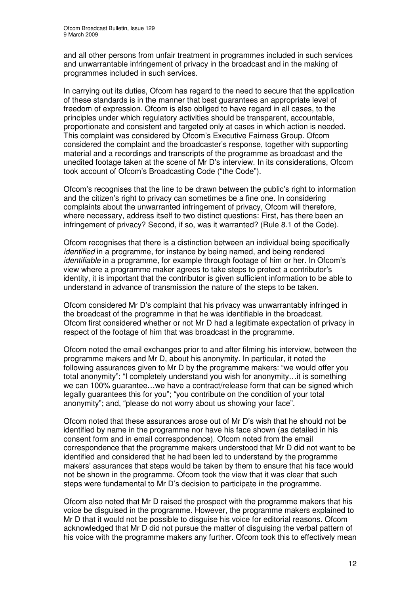and all other persons from unfair treatment in programmes included in such services and unwarrantable infringement of privacy in the broadcast and in the making of programmes included in such services.

In carrying out its duties, Ofcom has regard to the need to secure that the application of these standards is in the manner that best guarantees an appropriate level of freedom of expression. Ofcom is also obliged to have regard in all cases, to the principles under which regulatory activities should be transparent, accountable, proportionate and consistent and targeted only at cases in which action is needed. This complaint was considered by Ofcom's Executive Fairness Group. Ofcom considered the complaint and the broadcaster's response, together with supporting material and a recordings and transcripts of the programme as broadcast and the unedited footage taken at the scene of Mr D's interview. In its considerations, Ofcom took account of Ofcom's Broadcasting Code ("the Code").

Ofcom's recognises that the line to be drawn between the public's right to information and the citizen's right to privacy can sometimes be a fine one. In considering complaints about the unwarranted infringement of privacy, Ofcom will therefore, where necessary, address itself to two distinct questions: First, has there been an infringement of privacy? Second, if so, was it warranted? (Rule 8.1 of the Code).

Ofcom recognises that there is a distinction between an individual being specifically *identified* in a programme, for instance by being named, and being rendered *identifiable* in a programme, for example through footage of him or her. In Ofcom's view where a programme maker agrees to take steps to protect a contributor's identity, it is important that the contributor is given sufficient information to be able to understand in advance of transmission the nature of the steps to be taken.

Ofcom considered Mr D's complaint that his privacy was unwarrantably infringed in the broadcast of the programme in that he was identifiable in the broadcast. Ofcom first considered whether or not Mr D had a legitimate expectation of privacy in respect of the footage of him that was broadcast in the programme.

Ofcom noted the email exchanges prior to and after filming his interview, between the programme makers and Mr D, about his anonymity. In particular, it noted the following assurances given to Mr D by the programme makers: "we would offer you total anonymity"; "I completely understand you wish for anonymity…it is something we can 100% guarantee…we have a contract/release form that can be signed which legally guarantees this for you"; "you contribute on the condition of your total anonymity"; and, "please do not worry about us showing your face".

Ofcom noted that these assurances arose out of Mr D's wish that he should not be identified by name in the programme nor have his face shown (as detailed in his consent form and in email correspondence). Ofcom noted from the email correspondence that the programme makers understood that Mr D did not want to be identified and considered that he had been led to understand by the programme makers' assurances that steps would be taken by them to ensure that his face would not be shown in the programme. Ofcom took the view that it was clear that such steps were fundamental to Mr D's decision to participate in the programme.

Ofcom also noted that Mr D raised the prospect with the programme makers that his voice be disguised in the programme. However, the programme makers explained to Mr D that it would not be possible to disguise his voice for editorial reasons. Ofcom acknowledged that Mr D did not pursue the matter of disguising the verbal pattern of his voice with the programme makers any further. Ofcom took this to effectively mean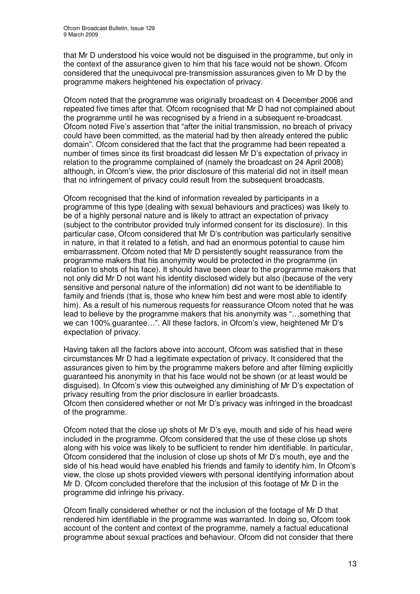that Mr D understood his voice would not be disguised in the programme, but only in the context of the assurance given to him that his face would not be shown. Ofcom considered that the unequivocal pre-transmission assurances given to Mr D by the programme makers heightened his expectation of privacy.

Ofcom noted that the programme was originally broadcast on 4 December 2006 and repeated five times after that. Ofcom recognised that Mr D had not complained about the programme until he was recognised by a friend in a subsequent re-broadcast. Ofcom noted Five's assertion that "after the initial transmission, no breach of privacy could have been committed, as the material had by then already entered the public domain". Ofcom considered that the fact that the programme had been repeated a number of times since its first broadcast did lessen Mr D's expectation of privacy in relation to the programme complained of (namely the broadcast on 24 April 2008) although, in Ofcom's view, the prior disclosure of this material did not in itself mean that no infringement of privacy could result from the subsequent broadcasts.

Ofcom recognised that the kind of information revealed by participants in a programme of this type (dealing with sexual behaviours and practices) was likely to be of a highly personal nature and is likely to attract an expectation of privacy (subject to the contributor provided truly informed consent for its disclosure). In this particular case, Ofcom considered that Mr D's contribution was particularly sensitive in nature, in that it related to a fetish, and had an enormous potential to cause him embarrassment. Ofcom noted that Mr D persistently sought reassurance from the programme makers that his anonymity would be protected in the programme (in relation to shots of his face). It should have been clear to the programme makers that not only did Mr D not want his identity disclosed widely but also (because of the very sensitive and personal nature of the information) did not want to be identifiable to family and friends (that is, those who knew him best and were most able to identify him). As a result of his numerous requests for reassurance Ofcom noted that he was lead to believe by the programme makers that his anonymity was "…something that we can 100% guarantee…". All these factors, in Ofcom's view, heightened Mr D's expectation of privacy.

Having taken all the factors above into account, Ofcom was satisfied that in these circumstances Mr D had a legitimate expectation of privacy. It considered that the assurances given to him by the programme makers before and after filming explicitly guaranteed his anonymity in that his face would not be shown (or at least would be disguised). In Ofcom's view this outweighed any diminishing of Mr D's expectation of privacy resulting from the prior disclosure in earlier broadcasts. Ofcom then considered whether or not Mr D's privacy was infringed in the broadcast of the programme.

Ofcom noted that the close up shots of Mr D's eye, mouth and side of his head were included in the programme. Ofcom considered that the use of these close up shots along with his voice was likely to be sufficient to render him identifiable. In particular, Ofcom considered that the inclusion of close up shots of Mr D's mouth, eye and the side of his head would have enabled his friends and family to identify him. In Ofcom's view, the close up shots provided viewers with personal identifying information about Mr D. Ofcom concluded therefore that the inclusion of this footage of Mr D in the programme did infringe his privacy.

Ofcom finally considered whether or not the inclusion of the footage of Mr D that rendered him identifiable in the programme was warranted. In doing so, Ofcom took account of the content and context of the programme, namely a factual educational programme about sexual practices and behaviour. Ofcom did not consider that there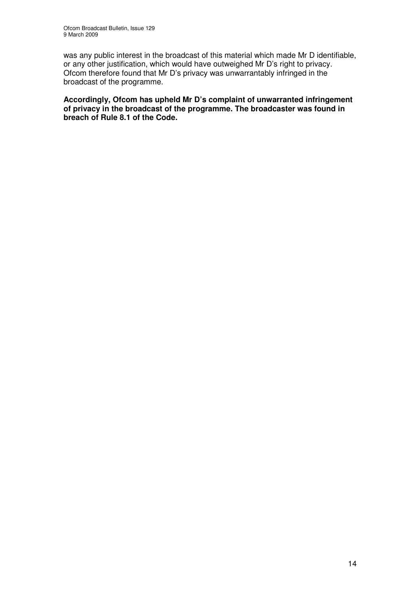was any public interest in the broadcast of this material which made Mr D identifiable, or any other justification, which would have outweighed Mr D's right to privacy. Ofcom therefore found that Mr D's privacy was unwarrantably infringed in the broadcast of the programme.

**Accordingly, Ofcom has upheld Mr D's complaint of unwarranted infringement of privacy in the broadcast of the programme. The broadcaster was found in breach of Rule 8.1 of the Code.**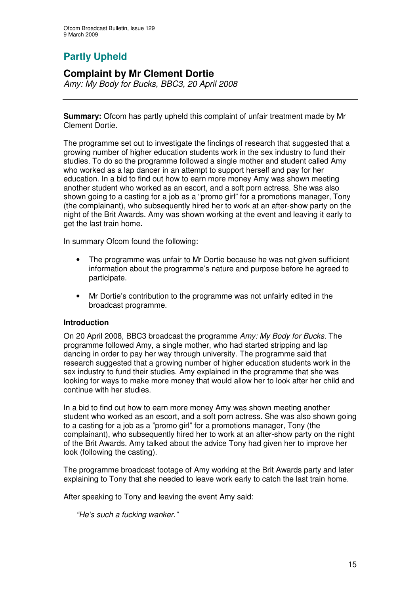# **Partly Upheld**

# **Complaint by Mr Clement Dortie**

*Amy: My Body for Bucks, BBC3, 20 April 2008*

**Summary:** Ofcom has partly upheld this complaint of unfair treatment made by Mr Clement Dortie.

The programme set out to investigate the findings of research that suggested that a growing number of higher education students work in the sex industry to fund their studies. To do so the programme followed a single mother and student called Amy who worked as a lap dancer in an attempt to support herself and pay for her education. In a bid to find out how to earn more money Amy was shown meeting another student who worked as an escort, and a soft porn actress. She was also shown going to a casting for a job as a "promo girl" for a promotions manager, Tony (the complainant), who subsequently hired her to work at an after-show party on the night of the Brit Awards. Amy was shown working at the event and leaving it early to get the last train home.

In summary Ofcom found the following:

- The programme was unfair to Mr Dortie because he was not given sufficient information about the programme's nature and purpose before he agreed to participate.
- Mr Dortie's contribution to the programme was not unfairly edited in the broadcast programme.

### **Introduction**

On 20 April 2008, BBC3 broadcast the programme *Amy: My Body for Bucks*. The programme followed Amy, a single mother, who had started stripping and lap dancing in order to pay her way through university. The programme said that research suggested that a growing number of higher education students work in the sex industry to fund their studies. Amy explained in the programme that she was looking for ways to make more money that would allow her to look after her child and continue with her studies.

In a bid to find out how to earn more money Amy was shown meeting another student who worked as an escort, and a soft porn actress. She was also shown going to a casting for a job as a "promo girl" for a promotions manager, Tony (the complainant), who subsequently hired her to work at an after-show party on the night of the Brit Awards. Amy talked about the advice Tony had given her to improve her look (following the casting).

The programme broadcast footage of Amy working at the Brit Awards party and later explaining to Tony that she needed to leave work early to catch the last train home.

After speaking to Tony and leaving the event Amy said:

*"He's such a fucking wanker."*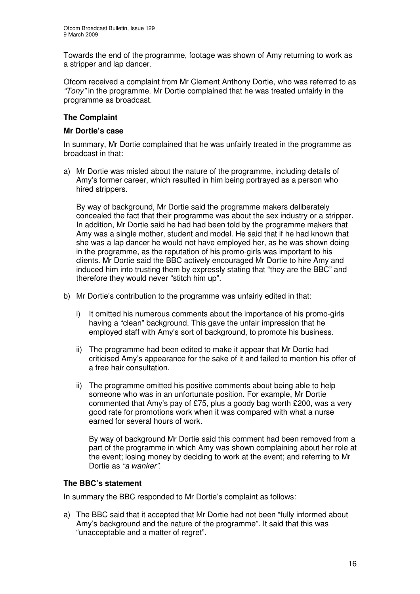Towards the end of the programme, footage was shown of Amy returning to work as a stripper and lap dancer.

Ofcom received a complaint from Mr Clement Anthony Dortie, who was referred to as *"Tony"* in the programme. Mr Dortie complained that he was treated unfairly in the programme as broadcast.

### **The Complaint**

### **Mr Dortie's case**

In summary, Mr Dortie complained that he was unfairly treated in the programme as broadcast in that:

a) Mr Dortie was misled about the nature of the programme, including details of Amy's former career, which resulted in him being portrayed as a person who hired strippers.

By way of background. Mr Dortie said the programme makers deliberately concealed the fact that their programme was about the sex industry or a stripper. In addition, Mr Dortie said he had had been told by the programme makers that Amy was a single mother, student and model. He said that if he had known that she was a lap dancer he would not have employed her, as he was shown doing in the programme, as the reputation of his promo-girls was important to his clients. Mr Dortie said the BBC actively encouraged Mr Dortie to hire Amy and induced him into trusting them by expressly stating that "they are the BBC" and therefore they would never "stitch him up".

- b) Mr Dortie's contribution to the programme was unfairly edited in that:
	- i) It omitted his numerous comments about the importance of his promo-girls having a "clean" background. This gave the unfair impression that he employed staff with Amy's sort of background, to promote his business.
	- ii) The programme had been edited to make it appear that Mr Dortie had criticised Amy's appearance for the sake of it and failed to mention his offer of a free hair consultation.
	- ii) The programme omitted his positive comments about being able to help someone who was in an unfortunate position. For example, Mr Dortie commented that Amy's pay of £75, plus a goody bag worth £200, was a very good rate for promotions work when it was compared with what a nurse earned for several hours of work.

By way of background Mr Dortie said this comment had been removed from a part of the programme in which Amy was shown complaining about her role at the event; losing money by deciding to work at the event; and referring to Mr Dortie as *"a wanker"*.

### **The BBC's statement**

In summary the BBC responded to Mr Dortie's complaint as follows:

a) The BBC said that it accepted that Mr Dortie had not been "fully informed about Amy's background and the nature of the programme". It said that this was "unacceptable and a matter of regret".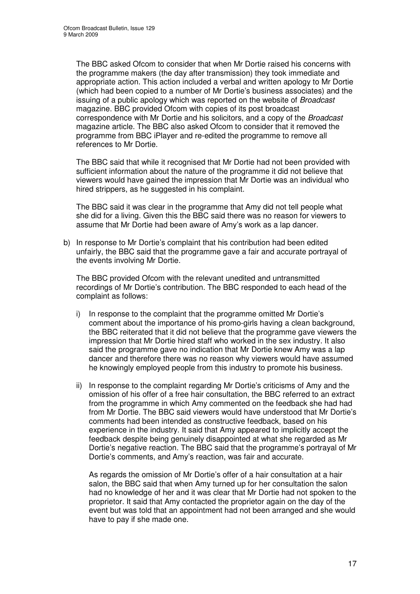The BBC asked Ofcom to consider that when Mr Dortie raised his concerns with the programme makers (the day after transmission) they took immediate and appropriate action. This action included a verbal and written apology to Mr Dortie (which had been copied to a number of Mr Dortie's business associates) and the issuing of a public apology which was reported on the website of *Broadcast* magazine. BBC provided Ofcom with copies of its post broadcast correspondence with Mr Dortie and his solicitors, and a copy of the *Broadcast* magazine article. The BBC also asked Ofcom to consider that it removed the programme from BBC iPlayer and re-edited the programme to remove all references to Mr Dortie.

The BBC said that while it recognised that Mr Dortie had not been provided with sufficient information about the nature of the programme it did not believe that viewers would have gained the impression that Mr Dortie was an individual who hired strippers, as he suggested in his complaint.

The BBC said it was clear in the programme that Amy did not tell people what she did for a living. Given this the BBC said there was no reason for viewers to assume that Mr Dortie had been aware of Amy's work as a lap dancer.

b) In response to Mr Dortie's complaint that his contribution had been edited unfairly, the BBC said that the programme gave a fair and accurate portrayal of the events involving Mr Dortie.

The BBC provided Ofcom with the relevant unedited and untransmitted recordings of Mr Dortie's contribution. The BBC responded to each head of the complaint as follows:

- i) In response to the complaint that the programme omitted Mr Dortie's comment about the importance of his promo-girls having a clean background, the BBC reiterated that it did not believe that the programme gave viewers the impression that Mr Dortie hired staff who worked in the sex industry. It also said the programme gave no indication that Mr Dortie knew Amy was a lap dancer and therefore there was no reason why viewers would have assumed he knowingly employed people from this industry to promote his business.
- ii) In response to the complaint regarding Mr Dortie's criticisms of Amy and the omission of his offer of a free hair consultation, the BBC referred to an extract from the programme in which Amy commented on the feedback she had had from Mr Dortie. The BBC said viewers would have understood that Mr Dortie's comments had been intended as constructive feedback, based on his experience in the industry. It said that Amy appeared to implicitly accept the feedback despite being genuinely disappointed at what she regarded as Mr Dortie's negative reaction. The BBC said that the programme's portrayal of Mr Dortie's comments, and Amy's reaction, was fair and accurate.

As regards the omission of Mr Dortie's offer of a hair consultation at a hair salon, the BBC said that when Amy turned up for her consultation the salon had no knowledge of her and it was clear that Mr Dortie had not spoken to the proprietor. It said that Amy contacted the proprietor again on the day of the event but was told that an appointment had not been arranged and she would have to pay if she made one.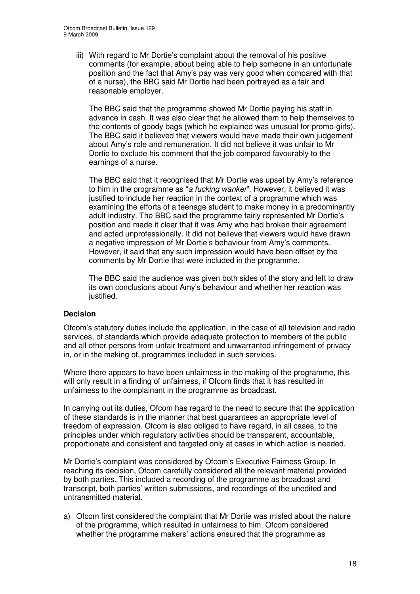iii) With regard to Mr Dortie's complaint about the removal of his positive comments (for example, about being able to help someone in an unfortunate position and the fact that Amy's pay was very good when compared with that of a nurse), the BBC said Mr Dortie had been portrayed as a fair and reasonable employer.

The BBC said that the programme showed Mr Dortie paying his staff in advance in cash. It was also clear that he allowed them to help themselves to the contents of goody bags (which he explained was unusual for promo-girls). The BBC said it believed that viewers would have made their own judgement about Amy's role and remuneration. It did not believe it was unfair to Mr Dortie to exclude his comment that the job compared favourably to the earnings of a nurse.

The BBC said that it recognised that Mr Dortie was upset by Amy's reference to him in the programme as "*a fucking wanker*". However, it believed it was justified to include her reaction in the context of a programme which was examining the efforts of a teenage student to make money in a predominantly adult industry. The BBC said the programme fairly represented Mr Dortie's position and made it clear that it was Amy who had broken their agreement and acted unprofessionally. It did not believe that viewers would have drawn a negative impression of Mr Dortie's behaviour from Amy's comments. However, it said that any such impression would have been offset by the comments by Mr Dortie that were included in the programme.

The BBC said the audience was given both sides of the story and left to draw its own conclusions about Amy's behaviour and whether her reaction was justified.

### **Decision**

Ofcom's statutory duties include the application, in the case of all television and radio services, of standards which provide adequate protection to members of the public and all other persons from unfair treatment and unwarranted infringement of privacy in, or in the making of, programmes included in such services.

Where there appears to have been unfairness in the making of the programme, this will only result in a finding of unfairness, if Ofcom finds that it has resulted in unfairness to the complainant in the programme as broadcast.

In carrying out its duties, Ofcom has regard to the need to secure that the application of these standards is in the manner that best guarantees an appropriate level of freedom of expression. Ofcom is also obliged to have regard, in all cases, to the principles under which regulatory activities should be transparent, accountable, proportionate and consistent and targeted only at cases in which action is needed.

Mr Dortie's complaint was considered by Ofcom's Executive Fairness Group. In reaching its decision, Ofcom carefully considered all the relevant material provided by both parties. This included a recording of the programme as broadcast and transcript, both parties' written submissions, and recordings of the unedited and untransmitted material.

a) Ofcom first considered the complaint that Mr Dortie was misled about the nature of the programme, which resulted in unfairness to him. Ofcom considered whether the programme makers' actions ensured that the programme as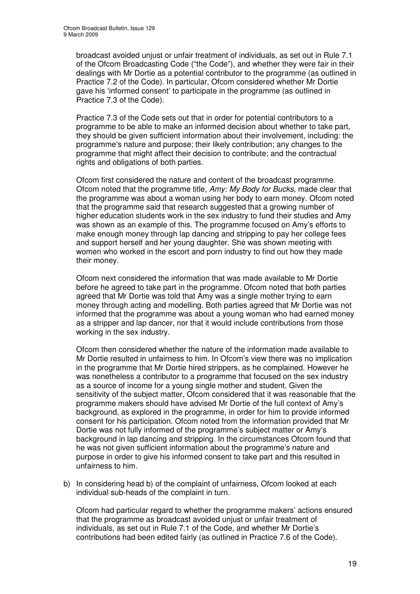broadcast avoided unjust or unfair treatment of individuals, as set out in Rule 7.1 of the Ofcom Broadcasting Code ("the Code"), and whether they were fair in their dealings with Mr Dortie as a potential contributor to the programme (as outlined in Practice 7.2 of the Code). In particular, Ofcom considered whether Mr Dortie gave his 'informed consent' to participate in the programme (as outlined in Practice 7.3 of the Code).

Practice 7.3 of the Code sets out that in order for potential contributors to a programme to be able to make an informed decision about whether to take part, they should be given sufficient information about their involvement, including: the programme's nature and purpose; their likely contribution; any changes to the programme that might affect their decision to contribute; and the contractual rights and obligations of both parties.

Ofcom first considered the nature and content of the broadcast programme. Ofcom noted that the programme title, *Amy: My Body for Bucks*, made clear that the programme was about a woman using her body to earn money. Ofcom noted that the programme said that research suggested that a growing number of higher education students work in the sex industry to fund their studies and Amy was shown as an example of this. The programme focused on Amy's efforts to make enough money through lap dancing and stripping to pay her college fees and support herself and her young daughter. She was shown meeting with women who worked in the escort and porn industry to find out how they made their money.

Ofcom next considered the information that was made available to Mr Dortie before he agreed to take part in the programme. Ofcom noted that both parties agreed that Mr Dortie was told that Amy was a single mother trying to earn money through acting and modelling. Both parties agreed that Mr Dortie was not informed that the programme was about a young woman who had earned money as a stripper and lap dancer, nor that it would include contributions from those working in the sex industry.

Ofcom then considered whether the nature of the information made available to Mr Dortie resulted in unfairness to him. In Ofcom's view there was no implication in the programme that Mr Dortie hired strippers, as he complained. However he was nonetheless a contributor to a programme that focused on the sex industry as a source of income for a young single mother and student. Given the sensitivity of the subject matter, Ofcom considered that it was reasonable that the programme makers should have advised Mr Dortie of the full context of Amy's background, as explored in the programme, in order for him to provide informed consent for his participation. Ofcom noted from the information provided that Mr Dortie was not fully informed of the programme's subject matter or Amy's background in lap dancing and stripping. In the circumstances Ofcom found that he was not given sufficient information about the programme's nature and purpose in order to give his informed consent to take part and this resulted in unfairness to him.

b) In considering head b) of the complaint of unfairness, Ofcom looked at each individual sub-heads of the complaint in turn.

Ofcom had particular regard to whether the programme makers' actions ensured that the programme as broadcast avoided unjust or unfair treatment of individuals, as set out in Rule 7.1 of the Code, and whether Mr Dortie's contributions had been edited fairly (as outlined in Practice 7.6 of the Code).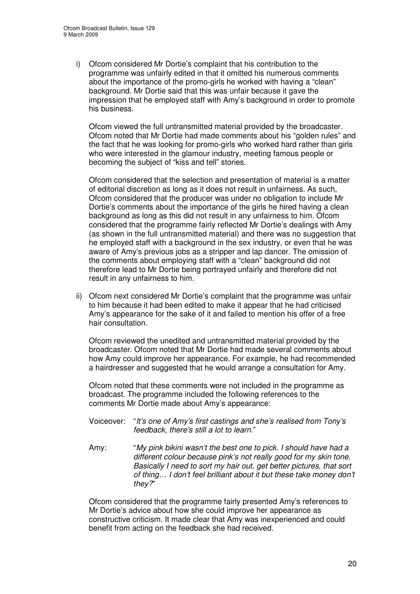i) Ofcom considered Mr Dortie's complaint that his contribution to the programme was unfairly edited in that it omitted his numerous comments about the importance of the promo-girls he worked with having a "clean" background. Mr Dortie said that this was unfair because it gave the impression that he employed staff with Amy's background in order to promote his business.

Ofcom viewed the full untransmitted material provided by the broadcaster. Ofcom noted that Mr Dortie had made comments about his "golden rules" and the fact that he was looking for promo-girls who worked hard rather than girls who were interested in the glamour industry, meeting famous people or becoming the subject of "kiss and tell" stories.

Ofcom considered that the selection and presentation of material is a matter of editorial discretion as long as it does not result in unfairness. As such, Ofcom considered that the producer was under no obligation to include Mr Dortie's comments about the importance of the girls he hired having a clean background as long as this did not result in any unfairness to him. Ofcom considered that the programme fairly reflected Mr Dortie's dealings with Amy (as shown in the full untransmitted material) and there was no suggestion that he employed staff with a background in the sex industry, or even that he was aware of Amy's previous jobs as a stripper and lap dancer. The omission of the comments about employing staff with a "clean" background did not therefore lead to Mr Dortie being portrayed unfairly and therefore did not result in any unfairness to him.

ii) Ofcom next considered Mr Dortie's complaint that the programme was unfair to him because it had been edited to make it appear that he had criticised Amy's appearance for the sake of it and failed to mention his offer of a free hair consultation.

Ofcom reviewed the unedited and untransmitted material provided by the broadcaster. Ofcom noted that Mr Dortie had made several comments about how Amy could improve her appearance. For example, he had recommended a hairdresser and suggested that he would arrange a consultation for Amy.

Ofcom noted that these comments were not included in the programme as broadcast. The programme included the following references to the comments Mr Dortie made about Amy's appearance:

- Voiceover: "*It's one of Amy's first castings and she's realised from Tony's feedback, there's still a lot to learn.*"
- Amy: "*My pink bikini wasn't the best one to pick. I should have had a different colour because pink's not really good for my skin tone. Basically I need to sort my hair out, get better pictures, that sort of thing… I don't feel brilliant about it but these take money don't they?*"

Ofcom considered that the programme fairly presented Amy's references to Mr Dortie's advice about how she could improve her appearance as constructive criticism. It made clear that Amy was inexperienced and could benefit from acting on the feedback she had received.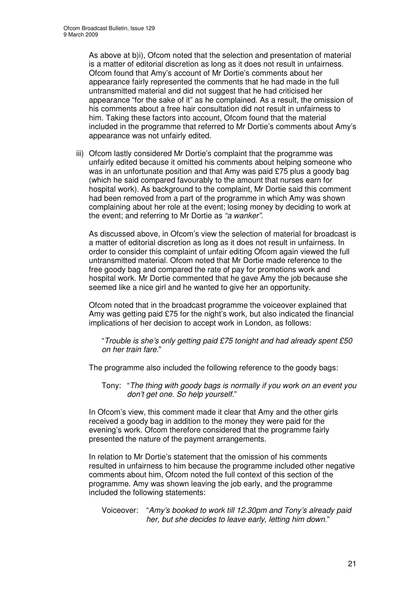As above at b)i), Ofcom noted that the selection and presentation of material is a matter of editorial discretion as long as it does not result in unfairness. Ofcom found that Amy's account of Mr Dortie's comments about her appearance fairly represented the comments that he had made in the full untransmitted material and did not suggest that he had criticised her appearance "for the sake of it" as he complained. As a result, the omission of his comments about a free hair consultation did not result in unfairness to him. Taking these factors into account, Ofcom found that the material included in the programme that referred to Mr Dortie's comments about Amy's appearance was not unfairly edited.

iii) Ofcom lastly considered Mr Dortie's complaint that the programme was unfairly edited because it omitted his comments about helping someone who was in an unfortunate position and that Amy was paid £75 plus a goody bag (which he said compared favourably to the amount that nurses earn for hospital work). As background to the complaint, Mr Dortie said this comment had been removed from a part of the programme in which Amy was shown complaining about her role at the event; losing money by deciding to work at the event; and referring to Mr Dortie as *"a wanker"*.

As discussed above, in Ofcom's view the selection of material for broadcast is a matter of editorial discretion as long as it does not result in unfairness. In order to consider this complaint of unfair editing Ofcom again viewed the full untransmitted material. Ofcom noted that Mr Dortie made reference to the free goody bag and compared the rate of pay for promotions work and hospital work. Mr Dortie commented that he gave Amy the job because she seemed like a nice girl and he wanted to give her an opportunity.

Ofcom noted that in the broadcast programme the voiceover explained that Amy was getting paid £75 for the night's work, but also indicated the financial implications of her decision to accept work in London, as follows:

"*Trouble is she's only getting paid £75 tonight and had already spent £50 on her train fare.*"

The programme also included the following reference to the goody bags:

Tony: "*The thing with goody bags is normally if you work on an event you don't get one. So help yourself.*"

In Ofcom's view, this comment made it clear that Amy and the other girls received a goody bag in addition to the money they were paid for the evening's work. Ofcom therefore considered that the programme fairly presented the nature of the payment arrangements.

In relation to Mr Dortie's statement that the omission of his comments resulted in unfairness to him because the programme included other negative comments about him, Ofcom noted the full context of this section of the programme. Amy was shown leaving the job early, and the programme included the following statements:

Voiceover: "*Amy's booked to work till 12.30pm and Tony's already paid her, but she decides to leave early, letting him down*."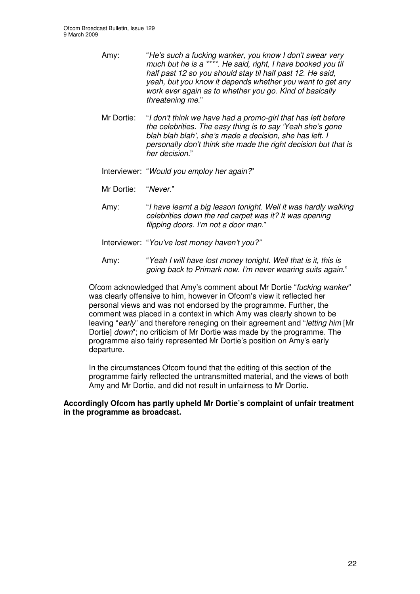- Amy: "*He's such a fucking wanker, you know I don't swear very much but he is a \*\*\*\*. He said, right, I have booked you til half past 12 so you should stay til half past 12. He said, yeah, but you know it depends whether you want to get any work ever again as to whether you go. Kind of basically threatening me*."
- Mr Dortie: "*I don't think we have had a promo-girl that has left before the celebrities. The easy thing is to say 'Yeah she's gone blah blah blah', she's made a decision, she has left. I personally don't think she made the right decision but that is her decision.*"
- Interviewer: "*Would you employ her again?*"
- Mr Dortie: "*Never.*"
- Amy: "*I have learnt a big lesson tonight. Well it was hardly walking celebrities down the red carpet was it? It was opening flipping doors. I'm not a door man*."
- Interviewer: "*You've lost money haven't you?"*
- Amy: "*Yeah I will have lost money tonight. Well that is it, this is going back to Primark now. I'm never wearing suits again*."

Ofcom acknowledged that Amy's comment about Mr Dortie "*fucking wanker*" was clearly offensive to him, however in Ofcom's view it reflected her personal views and was not endorsed by the programme. Further, the comment was placed in a context in which Amy was clearly shown to be leaving "*early*" and therefore reneging on their agreement and "*letting him* [Mr Dortie] *down*"; no criticism of Mr Dortie was made by the programme. The programme also fairly represented Mr Dortie's position on Amy's early departure.

In the circumstances Ofcom found that the editing of this section of the programme fairly reflected the untransmitted material, and the views of both Amy and Mr Dortie, and did not result in unfairness to Mr Dortie.

### **Accordingly Ofcom has partly upheld Mr Dortie's complaint of unfair treatment in the programme as broadcast.**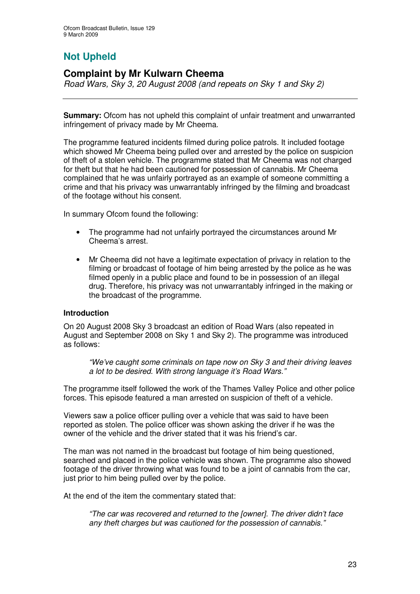# **Not Upheld**

# **Complaint by Mr Kulwarn Cheema**

*Road Wars, Sky 3, 20 August 2008 (and repeats on Sky 1 and Sky 2)*

**Summary:** Ofcom has not upheld this complaint of unfair treatment and unwarranted infringement of privacy made by Mr Cheema.

The programme featured incidents filmed during police patrols. It included footage which showed Mr Cheema being pulled over and arrested by the police on suspicion of theft of a stolen vehicle. The programme stated that Mr Cheema was not charged for theft but that he had been cautioned for possession of cannabis. Mr Cheema complained that he was unfairly portrayed as an example of someone committing a crime and that his privacy was unwarrantably infringed by the filming and broadcast of the footage without his consent.

In summary Ofcom found the following:

- The programme had not unfairly portrayed the circumstances around Mr Cheema's arrest.
- Mr Cheema did not have a legitimate expectation of privacy in relation to the filming or broadcast of footage of him being arrested by the police as he was filmed openly in a public place and found to be in possession of an illegal drug. Therefore, his privacy was not unwarrantably infringed in the making or the broadcast of the programme.

### **Introduction**

On 20 August 2008 Sky 3 broadcast an edition of Road Wars (also repeated in August and September 2008 on Sky 1 and Sky 2). The programme was introduced as follows:

*"We've caught some criminals on tape now on Sky 3 and their driving leaves a lot to be desired. With strong language it's Road Wars."*

The programme itself followed the work of the Thames Valley Police and other police forces. This episode featured a man arrested on suspicion of theft of a vehicle.

Viewers saw a police officer pulling over a vehicle that was said to have been reported as stolen. The police officer was shown asking the driver if he was the owner of the vehicle and the driver stated that it was his friend's car.

The man was not named in the broadcast but footage of him being questioned, searched and placed in the police vehicle was shown. The programme also showed footage of the driver throwing what was found to be a joint of cannabis from the car, just prior to him being pulled over by the police.

At the end of the item the commentary stated that:

*"The car was recovered and returned to the [owner]. The driver didn't face any theft charges but was cautioned for the possession of cannabis."*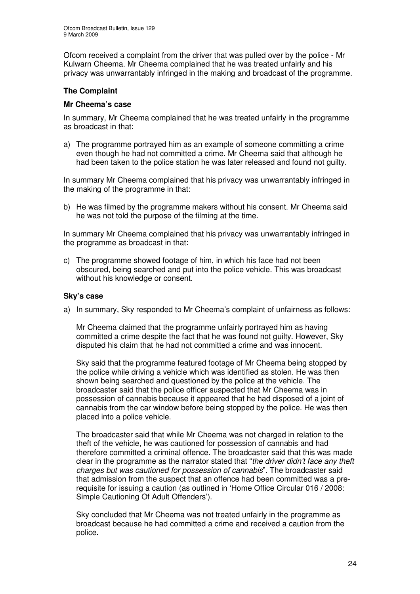Ofcom received a complaint from the driver that was pulled over by the police - Mr Kulwarn Cheema. Mr Cheema complained that he was treated unfairly and his privacy was unwarrantably infringed in the making and broadcast of the programme.

### **The Complaint**

### **Mr Cheema's case**

In summary, Mr Cheema complained that he was treated unfairly in the programme as broadcast in that:

a) The programme portrayed him as an example of someone committing a crime even though he had not committed a crime. Mr Cheema said that although he had been taken to the police station he was later released and found not guilty.

In summary Mr Cheema complained that his privacy was unwarrantably infringed in the making of the programme in that:

b) He was filmed by the programme makers without his consent. Mr Cheema said he was not told the purpose of the filming at the time.

In summary Mr Cheema complained that his privacy was unwarrantably infringed in the programme as broadcast in that:

c) The programme showed footage of him, in which his face had not been obscured, being searched and put into the police vehicle. This was broadcast without his knowledge or consent.

### **Sky's case**

a) In summary, Sky responded to Mr Cheema's complaint of unfairness as follows:

Mr Cheema claimed that the programme unfairly portrayed him as having committed a crime despite the fact that he was found not guilty. However, Sky disputed his claim that he had not committed a crime and was innocent.

Sky said that the programme featured footage of Mr Cheema being stopped by the police while driving a vehicle which was identified as stolen. He was then shown being searched and questioned by the police at the vehicle. The broadcaster said that the police officer suspected that Mr Cheema was in possession of cannabis because it appeared that he had disposed of a joint of cannabis from the car window before being stopped by the police. He was then placed into a police vehicle.

The broadcaster said that while Mr Cheema was not charged in relation to the theft of the vehicle, he was cautioned for possession of cannabis and had therefore committed a criminal offence. The broadcaster said that this was made clear in the programme as the narrator stated that "*the driver didn't face any theft charges but was cautioned for possession of cannabis*". The broadcaster said that admission from the suspect that an offence had been committed was a prerequisite for issuing a caution (as outlined in 'Home Office Circular 016 / 2008: Simple Cautioning Of Adult Offenders').

Sky concluded that Mr Cheema was not treated unfairly in the programme as broadcast because he had committed a crime and received a caution from the police.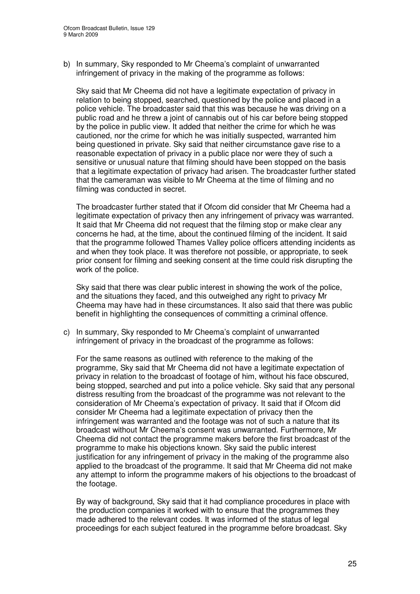b) In summary, Sky responded to Mr Cheema's complaint of unwarranted infringement of privacy in the making of the programme as follows:

Sky said that Mr Cheema did not have a legitimate expectation of privacy in relation to being stopped, searched, questioned by the police and placed in a police vehicle. The broadcaster said that this was because he was driving on a public road and he threw a joint of cannabis out of his car before being stopped by the police in public view. It added that neither the crime for which he was cautioned, nor the crime for which he was initially suspected, warranted him being questioned in private. Sky said that neither circumstance gave rise to a reasonable expectation of privacy in a public place nor were they of such a sensitive or unusual nature that filming should have been stopped on the basis that a legitimate expectation of privacy had arisen. The broadcaster further stated that the cameraman was visible to Mr Cheema at the time of filming and no filming was conducted in secret.

The broadcaster further stated that if Ofcom did consider that Mr Cheema had a legitimate expectation of privacy then any infringement of privacy was warranted. It said that Mr Cheema did not request that the filming stop or make clear any concerns he had, at the time, about the continued filming of the incident. It said that the programme followed Thames Valley police officers attending incidents as and when they took place. It was therefore not possible, or appropriate, to seek prior consent for filming and seeking consent at the time could risk disrupting the work of the police.

Sky said that there was clear public interest in showing the work of the police, and the situations they faced, and this outweighed any right to privacy Mr Cheema may have had in these circumstances. It also said that there was public benefit in highlighting the consequences of committing a criminal offence.

c) In summary, Sky responded to Mr Cheema's complaint of unwarranted infringement of privacy in the broadcast of the programme as follows:

For the same reasons as outlined with reference to the making of the programme, Sky said that Mr Cheema did not have a legitimate expectation of privacy in relation to the broadcast of footage of him, without his face obscured, being stopped, searched and put into a police vehicle. Sky said that any personal distress resulting from the broadcast of the programme was not relevant to the consideration of Mr Cheema's expectation of privacy. It said that if Ofcom did consider Mr Cheema had a legitimate expectation of privacy then the infringement was warranted and the footage was not of such a nature that its broadcast without Mr Cheema's consent was unwarranted. Furthermore, Mr Cheema did not contact the programme makers before the first broadcast of the programme to make his objections known. Sky said the public interest justification for any infringement of privacy in the making of the programme also applied to the broadcast of the programme. It said that Mr Cheema did not make any attempt to inform the programme makers of his objections to the broadcast of the footage.

By way of background, Sky said that it had compliance procedures in place with the production companies it worked with to ensure that the programmes they made adhered to the relevant codes. It was informed of the status of legal proceedings for each subject featured in the programme before broadcast. Sky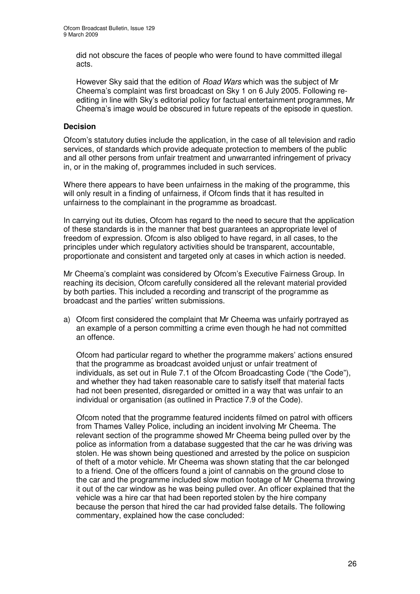did not obscure the faces of people who were found to have committed illegal acts.

However Sky said that the edition of *Road Wars* which was the subject of Mr Cheema's complaint was first broadcast on Sky 1 on 6 July 2005. Following reediting in line with Sky's editorial policy for factual entertainment programmes, Mr Cheema's image would be obscured in future repeats of the episode in question.

### **Decision**

Ofcom's statutory duties include the application, in the case of all television and radio services, of standards which provide adequate protection to members of the public and all other persons from unfair treatment and unwarranted infringement of privacy in, or in the making of, programmes included in such services.

Where there appears to have been unfairness in the making of the programme, this will only result in a finding of unfairness, if Ofcom finds that it has resulted in unfairness to the complainant in the programme as broadcast.

In carrying out its duties, Ofcom has regard to the need to secure that the application of these standards is in the manner that best guarantees an appropriate level of freedom of expression. Ofcom is also obliged to have regard, in all cases, to the principles under which regulatory activities should be transparent, accountable, proportionate and consistent and targeted only at cases in which action is needed.

Mr Cheema's complaint was considered by Ofcom's Executive Fairness Group. In reaching its decision, Ofcom carefully considered all the relevant material provided by both parties. This included a recording and transcript of the programme as broadcast and the parties' written submissions.

a) Ofcom first considered the complaint that Mr Cheema was unfairly portrayed as an example of a person committing a crime even though he had not committed an offence.

Ofcom had particular regard to whether the programme makers' actions ensured that the programme as broadcast avoided unjust or unfair treatment of individuals, as set out in Rule 7.1 of the Ofcom Broadcasting Code ("the Code"), and whether they had taken reasonable care to satisfy itself that material facts had not been presented, disregarded or omitted in a way that was unfair to an individual or organisation (as outlined in Practice 7.9 of the Code).

Ofcom noted that the programme featured incidents filmed on patrol with officers from Thames Valley Police, including an incident involving Mr Cheema. The relevant section of the programme showed Mr Cheema being pulled over by the police as information from a database suggested that the car he was driving was stolen. He was shown being questioned and arrested by the police on suspicion of theft of a motor vehicle. Mr Cheema was shown stating that the car belonged to a friend. One of the officers found a joint of cannabis on the ground close to the car and the programme included slow motion footage of Mr Cheema throwing it out of the car window as he was being pulled over. An officer explained that the vehicle was a hire car that had been reported stolen by the hire company because the person that hired the car had provided false details. The following commentary, explained how the case concluded: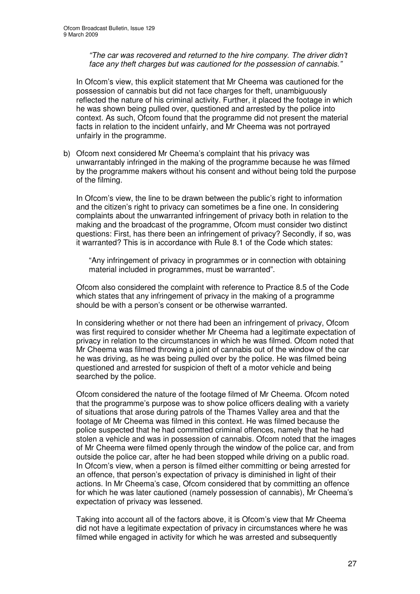*"The car was recovered and returned to the hire company. The driver didn't face any theft charges but was cautioned for the possession of cannabis."*

In Ofcom's view, this explicit statement that Mr Cheema was cautioned for the possession of cannabis but did not face charges for theft, unambiguously reflected the nature of his criminal activity. Further, it placed the footage in which he was shown being pulled over, questioned and arrested by the police into context. As such, Ofcom found that the programme did not present the material facts in relation to the incident unfairly, and Mr Cheema was not portrayed unfairly in the programme.

b) Ofcom next considered Mr Cheema's complaint that his privacy was unwarrantably infringed in the making of the programme because he was filmed by the programme makers without his consent and without being told the purpose of the filming.

In Ofcom's view, the line to be drawn between the public's right to information and the citizen's right to privacy can sometimes be a fine one. In considering complaints about the unwarranted infringement of privacy both in relation to the making and the broadcast of the programme, Ofcom must consider two distinct questions: First, has there been an infringement of privacy? Secondly, if so, was it warranted? This is in accordance with Rule 8.1 of the Code which states:

"Any infringement of privacy in programmes or in connection with obtaining material included in programmes, must be warranted".

Ofcom also considered the complaint with reference to Practice 8.5 of the Code which states that any infringement of privacy in the making of a programme should be with a person's consent or be otherwise warranted.

In considering whether or not there had been an infringement of privacy, Ofcom was first required to consider whether Mr Cheema had a legitimate expectation of privacy in relation to the circumstances in which he was filmed. Ofcom noted that Mr Cheema was filmed throwing a joint of cannabis out of the window of the car he was driving, as he was being pulled over by the police. He was filmed being questioned and arrested for suspicion of theft of a motor vehicle and being searched by the police.

Ofcom considered the nature of the footage filmed of Mr Cheema. Ofcom noted that the programme's purpose was to show police officers dealing with a variety of situations that arose during patrols of the Thames Valley area and that the footage of Mr Cheema was filmed in this context. He was filmed because the police suspected that he had committed criminal offences, namely that he had stolen a vehicle and was in possession of cannabis. Ofcom noted that the images of Mr Cheema were filmed openly through the window of the police car, and from outside the police car, after he had been stopped while driving on a public road. In Ofcom's view, when a person is filmed either committing or being arrested for an offence, that person's expectation of privacy is diminished in light of their actions. In Mr Cheema's case, Ofcom considered that by committing an offence for which he was later cautioned (namely possession of cannabis), Mr Cheema's expectation of privacy was lessened.

Taking into account all of the factors above, it is Ofcom's view that Mr Cheema did not have a legitimate expectation of privacy in circumstances where he was filmed while engaged in activity for which he was arrested and subsequently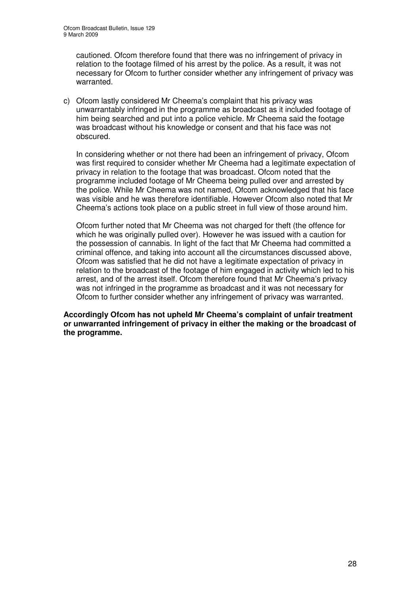cautioned. Ofcom therefore found that there was no infringement of privacy in relation to the footage filmed of his arrest by the police. As a result, it was not necessary for Ofcom to further consider whether any infringement of privacy was warranted.

c) Ofcom lastly considered Mr Cheema's complaint that his privacy was unwarrantably infringed in the programme as broadcast as it included footage of him being searched and put into a police vehicle. Mr Cheema said the footage was broadcast without his knowledge or consent and that his face was not obscured.

In considering whether or not there had been an infringement of privacy, Ofcom was first required to consider whether Mr Cheema had a legitimate expectation of privacy in relation to the footage that was broadcast. Ofcom noted that the programme included footage of Mr Cheema being pulled over and arrested by the police. While Mr Cheema was not named, Ofcom acknowledged that his face was visible and he was therefore identifiable. However Ofcom also noted that Mr Cheema's actions took place on a public street in full view of those around him.

Ofcom further noted that Mr Cheema was not charged for theft (the offence for which he was originally pulled over). However he was issued with a caution for the possession of cannabis. In light of the fact that Mr Cheema had committed a criminal offence, and taking into account all the circumstances discussed above, Ofcom was satisfied that he did not have a legitimate expectation of privacy in relation to the broadcast of the footage of him engaged in activity which led to his arrest, and of the arrest itself. Ofcom therefore found that Mr Cheema's privacy was not infringed in the programme as broadcast and it was not necessary for Ofcom to further consider whether any infringement of privacy was warranted.

**Accordingly Ofcom has not upheld Mr Cheema's complaint of unfair treatment or unwarranted infringement of privacy in either the making or the broadcast of the programme.**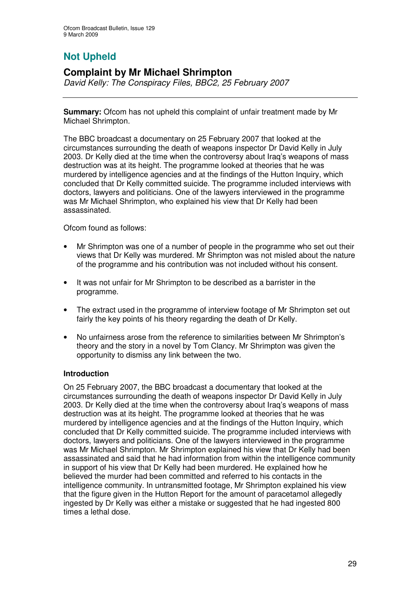# **Not Upheld**

# **Complaint by Mr Michael Shrimpton**

*David Kelly: The Conspiracy Files, BBC2, 25 February 2007*

**Summary:** Ofcom has not upheld this complaint of unfair treatment made by Mr Michael Shrimpton.

The BBC broadcast a documentary on 25 February 2007 that looked at the circumstances surrounding the death of weapons inspector Dr David Kelly in July 2003. Dr Kelly died at the time when the controversy about Iraq's weapons of mass destruction was at its height. The programme looked at theories that he was murdered by intelligence agencies and at the findings of the Hutton Inquiry, which concluded that Dr Kelly committed suicide. The programme included interviews with doctors, lawyers and politicians. One of the lawyers interviewed in the programme was Mr Michael Shrimpton, who explained his view that Dr Kelly had been assassinated.

Ofcom found as follows:

- Mr Shrimpton was one of a number of people in the programme who set out their views that Dr Kelly was murdered. Mr Shrimpton was not misled about the nature of the programme and his contribution was not included without his consent.
- It was not unfair for Mr Shrimpton to be described as a barrister in the programme.
- The extract used in the programme of interview footage of Mr Shrimpton set out fairly the key points of his theory regarding the death of Dr Kelly.
- No unfairness arose from the reference to similarities between Mr Shrimpton's theory and the story in a novel by Tom Clancy. Mr Shrimpton was given the opportunity to dismiss any link between the two.

### **Introduction**

On 25 February 2007, the BBC broadcast a documentary that looked at the circumstances surrounding the death of weapons inspector Dr David Kelly in July 2003. Dr Kelly died at the time when the controversy about Iraq's weapons of mass destruction was at its height. The programme looked at theories that he was murdered by intelligence agencies and at the findings of the Hutton Inquiry, which concluded that Dr Kelly committed suicide. The programme included interviews with doctors, lawyers and politicians. One of the lawyers interviewed in the programme was Mr Michael Shrimpton. Mr Shrimpton explained his view that Dr Kelly had been assassinated and said that he had information from within the intelligence community in support of his view that Dr Kelly had been murdered. He explained how he believed the murder had been committed and referred to his contacts in the intelligence community. In untransmitted footage, Mr Shrimpton explained his view that the figure given in the Hutton Report for the amount of paracetamol allegedly ingested by Dr Kelly was either a mistake or suggested that he had ingested 800 times a lethal dose.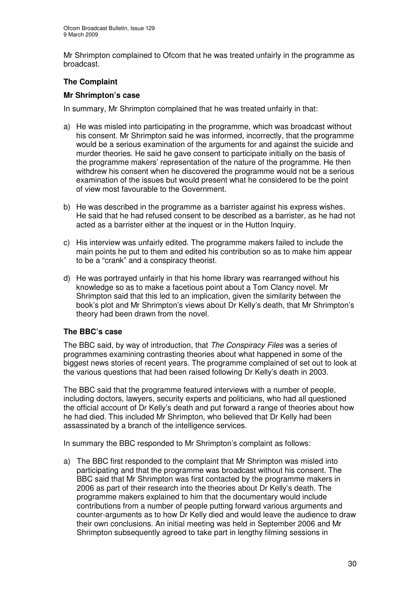Mr Shrimpton complained to Ofcom that he was treated unfairly in the programme as broadcast.

### **The Complaint**

### **Mr Shrimpton's case**

In summary, Mr Shrimpton complained that he was treated unfairly in that:

- a) He was misled into participating in the programme, which was broadcast without his consent. Mr Shrimpton said he was informed, incorrectly, that the programme would be a serious examination of the arguments for and against the suicide and murder theories. He said he gave consent to participate initially on the basis of the programme makers' representation of the nature of the programme. He then withdrew his consent when he discovered the programme would not be a serious examination of the issues but would present what he considered to be the point of view most favourable to the Government.
- b) He was described in the programme as a barrister against his express wishes. He said that he had refused consent to be described as a barrister, as he had not acted as a barrister either at the inquest or in the Hutton Inquiry.
- c) His interview was unfairly edited. The programme makers failed to include the main points he put to them and edited his contribution so as to make him appear to be a "crank" and a conspiracy theorist.
- d) He was portrayed unfairly in that his home library was rearranged without his knowledge so as to make a facetious point about a Tom Clancy novel. Mr Shrimpton said that this led to an implication, given the similarity between the book's plot and Mr Shrimpton's views about Dr Kelly's death, that Mr Shrimpton's theory had been drawn from the novel.

### **The BBC's case**

The BBC said, by way of introduction, that *The Conspiracy Files* was a series of programmes examining contrasting theories about what happened in some of the biggest news stories of recent years. The programme complained of set out to look at the various questions that had been raised following Dr Kelly's death in 2003.

The BBC said that the programme featured interviews with a number of people, including doctors, lawyers, security experts and politicians, who had all questioned the official account of Dr Kelly's death and put forward a range of theories about how he had died. This included Mr Shrimpton, who believed that Dr Kelly had been assassinated by a branch of the intelligence services.

In summary the BBC responded to Mr Shrimpton's complaint as follows:

a) The BBC first responded to the complaint that Mr Shrimpton was misled into participating and that the programme was broadcast without his consent. The BBC said that Mr Shrimpton was first contacted by the programme makers in 2006 as part of their research into the theories about Dr Kelly's death. The programme makers explained to him that the documentary would include contributions from a number of people putting forward various arguments and counter-arguments as to how Dr Kelly died and would leave the audience to draw their own conclusions. An initial meeting was held in September 2006 and Mr Shrimpton subsequently agreed to take part in lengthy filming sessions in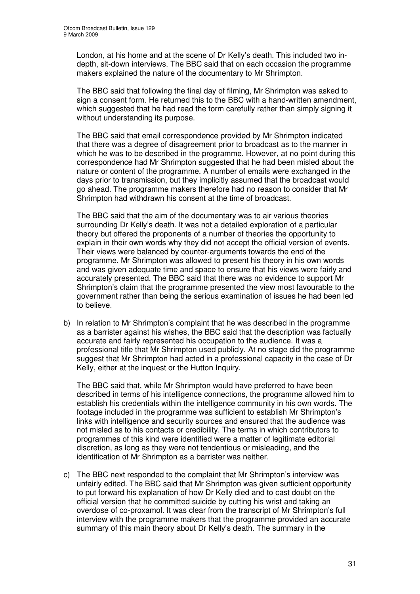London, at his home and at the scene of Dr Kelly's death. This included two indepth, sit-down interviews. The BBC said that on each occasion the programme makers explained the nature of the documentary to Mr Shrimpton.

The BBC said that following the final day of filming, Mr Shrimpton was asked to sign a consent form. He returned this to the BBC with a hand-written amendment, which suggested that he had read the form carefully rather than simply signing it without understanding its purpose.

The BBC said that email correspondence provided by Mr Shrimpton indicated that there was a degree of disagreement prior to broadcast as to the manner in which he was to be described in the programme. However, at no point during this correspondence had Mr Shrimpton suggested that he had been misled about the nature or content of the programme. A number of emails were exchanged in the days prior to transmission, but they implicitly assumed that the broadcast would go ahead. The programme makers therefore had no reason to consider that Mr Shrimpton had withdrawn his consent at the time of broadcast.

The BBC said that the aim of the documentary was to air various theories surrounding Dr Kelly's death. It was not a detailed exploration of a particular theory but offered the proponents of a number of theories the opportunity to explain in their own words why they did not accept the official version of events. Their views were balanced by counter-arguments towards the end of the programme. Mr Shrimpton was allowed to present his theory in his own words and was given adequate time and space to ensure that his views were fairly and accurately presented. The BBC said that there was no evidence to support Mr Shrimpton's claim that the programme presented the view most favourable to the government rather than being the serious examination of issues he had been led to believe.

b) In relation to Mr Shrimpton's complaint that he was described in the programme as a barrister against his wishes, the BBC said that the description was factually accurate and fairly represented his occupation to the audience. It was a professional title that Mr Shrimpton used publicly. At no stage did the programme suggest that Mr Shrimpton had acted in a professional capacity in the case of Dr Kelly, either at the inquest or the Hutton Inquiry.

The BBC said that, while Mr Shrimpton would have preferred to have been described in terms of his intelligence connections, the programme allowed him to establish his credentials within the intelligence community in his own words. The footage included in the programme was sufficient to establish Mr Shrimpton's links with intelligence and security sources and ensured that the audience was not misled as to his contacts or credibility. The terms in which contributors to programmes of this kind were identified were a matter of legitimate editorial discretion, as long as they were not tendentious or misleading, and the identification of Mr Shrimpton as a barrister was neither.

c) The BBC next responded to the complaint that Mr Shrimpton's interview was unfairly edited. The BBC said that Mr Shrimpton was given sufficient opportunity to put forward his explanation of how Dr Kelly died and to cast doubt on the official version that he committed suicide by cutting his wrist and taking an overdose of co-proxamol. It was clear from the transcript of Mr Shrimpton's full interview with the programme makers that the programme provided an accurate summary of this main theory about Dr Kelly's death. The summary in the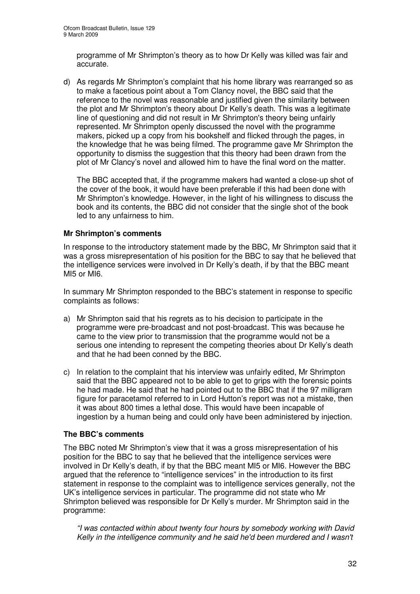programme of Mr Shrimpton's theory as to how Dr Kelly was killed was fair and accurate.

d) As regards Mr Shrimpton's complaint that his home library was rearranged so as to make a facetious point about a Tom Clancy novel, the BBC said that the reference to the novel was reasonable and justified given the similarity between the plot and Mr Shrimpton's theory about Dr Kelly's death. This was a legitimate line of questioning and did not result in Mr Shrimpton's theory being unfairly represented. Mr Shrimpton openly discussed the novel with the programme makers, picked up a copy from his bookshelf and flicked through the pages, in the knowledge that he was being filmed. The programme gave Mr Shrimpton the opportunity to dismiss the suggestion that this theory had been drawn from the plot of Mr Clancy's novel and allowed him to have the final word on the matter.

The BBC accepted that, if the programme makers had wanted a close-up shot of the cover of the book, it would have been preferable if this had been done with Mr Shrimpton's knowledge. However, in the light of his willingness to discuss the book and its contents, the BBC did not consider that the single shot of the book led to any unfairness to him.

### **Mr Shrimpton's comments**

In response to the introductory statement made by the BBC, Mr Shrimpton said that it was a gross misrepresentation of his position for the BBC to say that he believed that the intelligence services were involved in Dr Kelly's death, if by that the BBC meant MI5 or MI6.

In summary Mr Shrimpton responded to the BBC's statement in response to specific complaints as follows:

- a) Mr Shrimpton said that his regrets as to his decision to participate in the programme were pre-broadcast and not post-broadcast. This was because he came to the view prior to transmission that the programme would not be a serious one intending to represent the competing theories about Dr Kelly's death and that he had been conned by the BBC.
- c) In relation to the complaint that his interview was unfairly edited, Mr Shrimpton said that the BBC appeared not to be able to get to grips with the forensic points he had made. He said that he had pointed out to the BBC that if the 97 milligram figure for paracetamol referred to in Lord Hutton's report was not a mistake, then it was about 800 times a lethal dose. This would have been incapable of ingestion by a human being and could only have been administered by injection.

### **The BBC's comments**

The BBC noted Mr Shrimpton's view that it was a gross misrepresentation of his position for the BBC to say that he believed that the intelligence services were involved in Dr Kelly's death, if by that the BBC meant MI5 or MI6. However the BBC argued that the reference to "intelligence services" in the introduction to its first statement in response to the complaint was to intelligence services generally, not the UK's intelligence services in particular. The programme did not state who Mr Shrimpton believed was responsible for Dr Kelly's murder. Mr Shrimpton said in the programme:

*"I was contacted within about twenty four hours by somebody working with David Kelly in the intelligence community and he said he'd been murdered and I wasn't*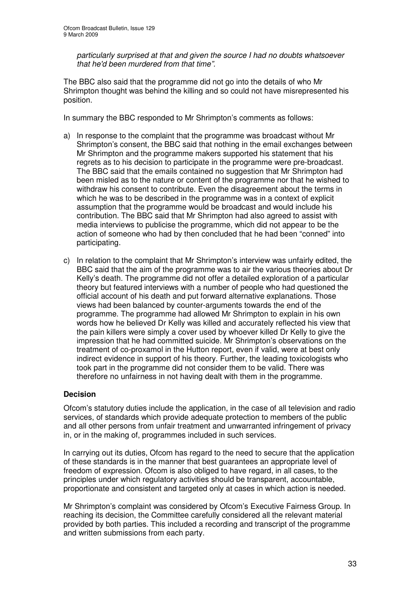*particularly surprised at that and given the source I had no doubts whatsoever that he'd been murdered from that time".*

The BBC also said that the programme did not go into the details of who Mr Shrimpton thought was behind the killing and so could not have misrepresented his position.

In summary the BBC responded to Mr Shrimpton's comments as follows:

- a) In response to the complaint that the programme was broadcast without Mr Shrimpton's consent, the BBC said that nothing in the email exchanges between Mr Shrimpton and the programme makers supported his statement that his regrets as to his decision to participate in the programme were pre-broadcast. The BBC said that the emails contained no suggestion that Mr Shrimpton had been misled as to the nature or content of the programme nor that he wished to withdraw his consent to contribute. Even the disagreement about the terms in which he was to be described in the programme was in a context of explicit assumption that the programme would be broadcast and would include his contribution. The BBC said that Mr Shrimpton had also agreed to assist with media interviews to publicise the programme, which did not appear to be the action of someone who had by then concluded that he had been "conned" into participating.
- c) In relation to the complaint that Mr Shrimpton's interview was unfairly edited, the BBC said that the aim of the programme was to air the various theories about Dr Kelly's death. The programme did not offer a detailed exploration of a particular theory but featured interviews with a number of people who had questioned the official account of his death and put forward alternative explanations. Those views had been balanced by counter-arguments towards the end of the programme. The programme had allowed Mr Shrimpton to explain in his own words how he believed Dr Kelly was killed and accurately reflected his view that the pain killers were simply a cover used by whoever killed Dr Kelly to give the impression that he had committed suicide. Mr Shrimpton's observations on the treatment of co-proxamol in the Hutton report, even if valid, were at best only indirect evidence in support of his theory. Further, the leading toxicologists who took part in the programme did not consider them to be valid. There was therefore no unfairness in not having dealt with them in the programme.

### **Decision**

Ofcom's statutory duties include the application, in the case of all television and radio services, of standards which provide adequate protection to members of the public and all other persons from unfair treatment and unwarranted infringement of privacy in, or in the making of, programmes included in such services.

In carrying out its duties, Ofcom has regard to the need to secure that the application of these standards is in the manner that best guarantees an appropriate level of freedom of expression. Ofcom is also obliged to have regard, in all cases, to the principles under which regulatory activities should be transparent, accountable, proportionate and consistent and targeted only at cases in which action is needed.

Mr Shrimpton's complaint was considered by Ofcom's Executive Fairness Group. In reaching its decision, the Committee carefully considered all the relevant material provided by both parties. This included a recording and transcript of the programme and written submissions from each party.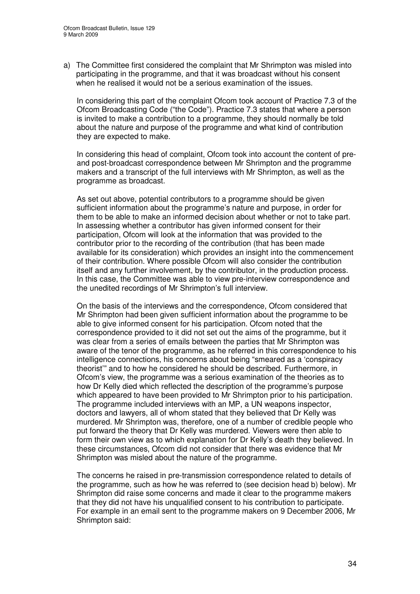a) The Committee first considered the complaint that Mr Shrimpton was misled into participating in the programme, and that it was broadcast without his consent when he realised it would not be a serious examination of the issues.

In considering this part of the complaint Ofcom took account of Practice 7.3 of the Ofcom Broadcasting Code ("the Code"). Practice 7.3 states that where a person is invited to make a contribution to a programme, they should normally be told about the nature and purpose of the programme and what kind of contribution they are expected to make.

In considering this head of complaint, Ofcom took into account the content of preand post-broadcast correspondence between Mr Shrimpton and the programme makers and a transcript of the full interviews with Mr Shrimpton, as well as the programme as broadcast.

As set out above, potential contributors to a programme should be given sufficient information about the programme's nature and purpose, in order for them to be able to make an informed decision about whether or not to take part. In assessing whether a contributor has given informed consent for their participation, Ofcom will look at the information that was provided to the contributor prior to the recording of the contribution (that has been made available for its consideration) which provides an insight into the commencement of their contribution. Where possible Ofcom will also consider the contribution itself and any further involvement, by the contributor, in the production process. In this case, the Committee was able to view pre-interview correspondence and the unedited recordings of Mr Shrimpton's full interview.

On the basis of the interviews and the correspondence, Ofcom considered that Mr Shrimpton had been given sufficient information about the programme to be able to give informed consent for his participation. Ofcom noted that the correspondence provided to it did not set out the aims of the programme, but it was clear from a series of emails between the parties that Mr Shrimpton was aware of the tenor of the programme, as he referred in this correspondence to his intelligence connections, his concerns about being "smeared as a 'conspiracy theorist'" and to how he considered he should be described. Furthermore, in Ofcom's view, the programme was a serious examination of the theories as to how Dr Kelly died which reflected the description of the programme's purpose which appeared to have been provided to Mr Shrimpton prior to his participation. The programme included interviews with an MP, a UN weapons inspector, doctors and lawyers, all of whom stated that they believed that Dr Kelly was murdered. Mr Shrimpton was, therefore, one of a number of credible people who put forward the theory that Dr Kelly was murdered. Viewers were then able to form their own view as to which explanation for Dr Kelly's death they believed. In these circumstances, Ofcom did not consider that there was evidence that Mr Shrimpton was misled about the nature of the programme.

The concerns he raised in pre-transmission correspondence related to details of the programme, such as how he was referred to (see decision head b) below). Mr Shrimpton did raise some concerns and made it clear to the programme makers that they did not have his unqualified consent to his contribution to participate. For example in an email sent to the programme makers on 9 December 2006, Mr Shrimpton said: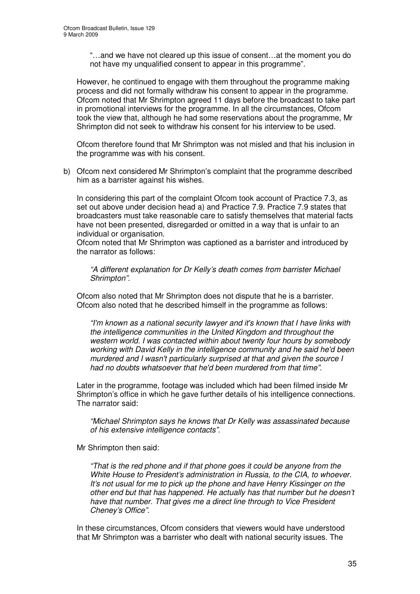"…and we have not cleared up this issue of consent…at the moment you do not have my unqualified consent to appear in this programme".

However, he continued to engage with them throughout the programme making process and did not formally withdraw his consent to appear in the programme. Ofcom noted that Mr Shrimpton agreed 11 days before the broadcast to take part in promotional interviews for the programme. In all the circumstances, Ofcom took the view that, although he had some reservations about the programme, Mr Shrimpton did not seek to withdraw his consent for his interview to be used.

Ofcom therefore found that Mr Shrimpton was not misled and that his inclusion in the programme was with his consent.

b) Ofcom next considered Mr Shrimpton's complaint that the programme described him as a barrister against his wishes.

In considering this part of the complaint Ofcom took account of Practice 7.3, as set out above under decision head a) and Practice 7.9. Practice 7.9 states that broadcasters must take reasonable care to satisfy themselves that material facts have not been presented, disregarded or omitted in a way that is unfair to an individual or organisation.

Ofcom noted that Mr Shrimpton was captioned as a barrister and introduced by the narrator as follows:

*"A different explanation for Dr Kelly's death comes from barrister Michael Shrimpton".*

Ofcom also noted that Mr Shrimpton does not dispute that he is a barrister. Ofcom also noted that he described himself in the programme as follows:

*"I'm known as a national security lawyer and it's known that I have links with the intelligence communities in the United Kingdom and throughout the western world. I was contacted within about twenty four hours by somebody working with David Kelly in the intelligence community and he said he'd been murdered and I wasn't particularly surprised at that and given the source I had no doubts whatsoever that he'd been murdered from that time".*

Later in the programme, footage was included which had been filmed inside Mr Shrimpton's office in which he gave further details of his intelligence connections. The narrator said:

*"Michael Shrimpton says he knows that Dr Kelly was assassinated because of his extensive intelligence contacts".*

Mr Shrimpton then said:

*"That is the red phone and if that phone goes it could be anyone from the White House to President's administration in Russia, to the CIA, to whoever. It's not usual for me to pick up the phone and have Henry Kissinger on the other end but that has happened. He actually has that number but he doesn't have that number. That gives me a direct line through to Vice President Cheney's Office".*

In these circumstances, Ofcom considers that viewers would have understood that Mr Shrimpton was a barrister who dealt with national security issues. The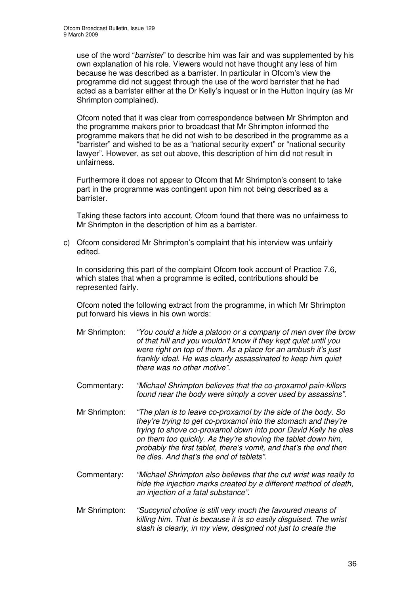use of the word "*barrister*" to describe him was fair and was supplemented by his own explanation of his role. Viewers would not have thought any less of him because he was described as a barrister. In particular in Ofcom's view the programme did not suggest through the use of the word barrister that he had acted as a barrister either at the Dr Kelly's inquest or in the Hutton Inquiry (as Mr Shrimpton complained).

Ofcom noted that it was clear from correspondence between Mr Shrimpton and the programme makers prior to broadcast that Mr Shrimpton informed the programme makers that he did not wish to be described in the programme as a "barrister" and wished to be as a "national security expert" or "national security lawyer". However, as set out above, this description of him did not result in unfairness.

Furthermore it does not appear to Ofcom that Mr Shrimpton's consent to take part in the programme was contingent upon him not being described as a barrister.

Taking these factors into account, Ofcom found that there was no unfairness to Mr Shrimpton in the description of him as a barrister.

c) Ofcom considered Mr Shrimpton's complaint that his interview was unfairly edited.

In considering this part of the complaint Ofcom took account of Practice 7.6, which states that when a programme is edited, contributions should be represented fairly.

Ofcom noted the following extract from the programme, in which Mr Shrimpton put forward his views in his own words:

- Mr Shrimpton: *"You could a hide a platoon or a company of men over the brow of that hill and you wouldn't know if they kept quiet until you were right on top of them. As a place for an ambush it's just frankly ideal. He was clearly assassinated to keep him quiet there was no other motive".*
- Commentary: *"Michael Shrimpton believes that the co-proxamol pain-killers found near the body were simply a cover used by assassins".*
- Mr Shrimpton: *"The plan is to leave co-proxamol by the side of the body. So they're trying to get co-proxamol into the stomach and they're trying to shove co-proxamol down into poor David Kelly he dies on them too quickly. As they're shoving the tablet down him, probably the first tablet, there's vomit, and that's the end then he dies. And that's the end of tablets".*
- Commentary: *"Michael Shrimpton also believes that the cut wrist was really to hide the injection marks created by a different method of death, an injection of a fatal substance".*
- Mr Shrimpton: *"Succynol choline is still very much the favoured means of killing him. That is because it is so easily disguised. The wrist slash is clearly, in my view, designed not just to create the*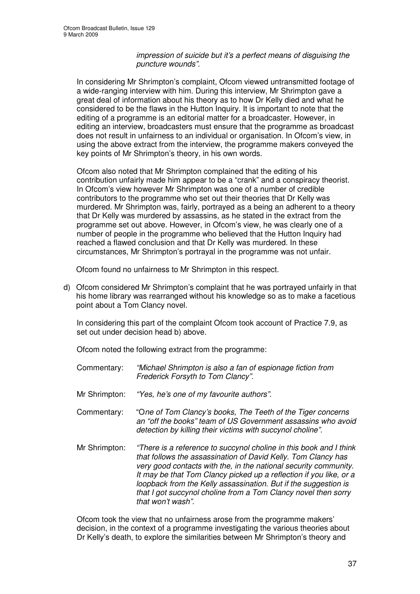### *impression of suicide but it's a perfect means of disguising the puncture wounds".*

In considering Mr Shrimpton's complaint, Ofcom viewed untransmitted footage of a wide-ranging interview with him. During this interview, Mr Shrimpton gave a great deal of information about his theory as to how Dr Kelly died and what he considered to be the flaws in the Hutton Inquiry. It is important to note that the editing of a programme is an editorial matter for a broadcaster. However, in editing an interview, broadcasters must ensure that the programme as broadcast does not result in unfairness to an individual or organisation. In Ofcom's view, in using the above extract from the interview, the programme makers conveyed the key points of Mr Shrimpton's theory, in his own words.

Ofcom also noted that Mr Shrimpton complained that the editing of his contribution unfairly made him appear to be a "crank" and a conspiracy theorist. In Ofcom's view however Mr Shrimpton was one of a number of credible contributors to the programme who set out their theories that Dr Kelly was murdered. Mr Shrimpton was, fairly, portrayed as a being an adherent to a theory that Dr Kelly was murdered by assassins, as he stated in the extract from the programme set out above. However, in Ofcom's view, he was clearly one of a number of people in the programme who believed that the Hutton Inquiry had reached a flawed conclusion and that Dr Kelly was murdered. In these circumstances, Mr Shrimpton's portrayal in the programme was not unfair.

Ofcom found no unfairness to Mr Shrimpton in this respect.

d) Ofcom considered Mr Shrimpton's complaint that he was portrayed unfairly in that his home library was rearranged without his knowledge so as to make a facetious point about a Tom Clancy novel.

In considering this part of the complaint Ofcom took account of Practice 7.9, as set out under decision head b) above.

Ofcom noted the following extract from the programme:

- Commentary: *"Michael Shrimpton is also a fan of espionage fiction from Frederick Forsyth to Tom Clancy".*
- Mr Shrimpton: *"Yes, he's one of my favourite authors".*
- Commentary: "O*ne of Tom Clancy's books, The Teeth of the Tiger concerns an "off the books" team of US Government assassins who avoid detection by killing their victims with succynol choline".*
- Mr Shrimpton: *"There is a reference to succynol choline in this book and I think that follows the assassination of David Kelly. Tom Clancy has very good contacts with the, in the national security community. It may be that Tom Clancy picked up a reflection if you like, or a loopback from the Kelly assassination. But if the suggestion is that I got succynol choline from a Tom Clancy novel then sorry that won't wash".*

Ofcom took the view that no unfairness arose from the programme makers' decision, in the context of a programme investigating the various theories about Dr Kelly's death, to explore the similarities between Mr Shrimpton's theory and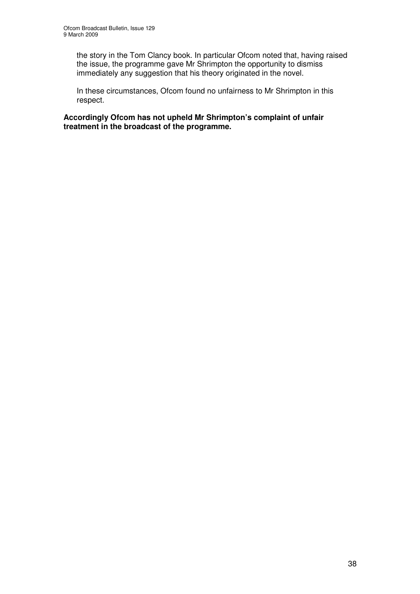the story in the Tom Clancy book. In particular Ofcom noted that, having raised the issue, the programme gave Mr Shrimpton the opportunity to dismiss immediately any suggestion that his theory originated in the novel.

In these circumstances, Ofcom found no unfairness to Mr Shrimpton in this respect.

**Accordingly Ofcom has not upheld Mr Shrimpton's complaint of unfair treatment in the broadcast of the programme.**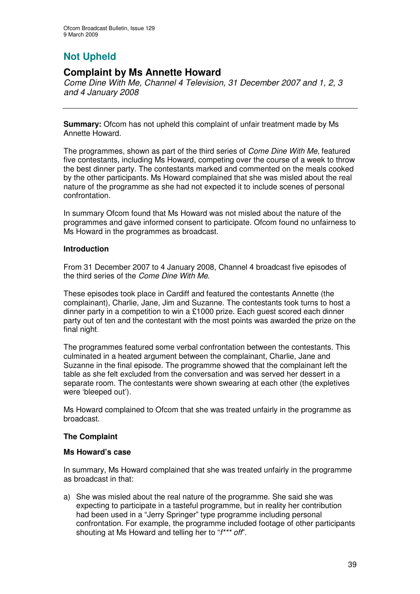# **Not Upheld**

# **Complaint by Ms Annette Howard**

*Come Dine With Me, Channel 4 Television, 31 December 2007 and 1, 2, 3 and 4 January 2008*

**Summary:** Ofcom has not upheld this complaint of unfair treatment made by Ms Annette Howard.

The programmes, shown as part of the third series of *Come Dine With Me*, featured five contestants, including Ms Howard, competing over the course of a week to throw the best dinner party. The contestants marked and commented on the meals cooked by the other participants. Ms Howard complained that she was misled about the real nature of the programme as she had not expected it to include scenes of personal confrontation.

In summary Ofcom found that Ms Howard was not misled about the nature of the programmes and gave informed consent to participate. Ofcom found no unfairness to Ms Howard in the programmes as broadcast.

### **Introduction**

From 31 December 2007 to 4 January 2008, Channel 4 broadcast five episodes of the third series of the *Come Dine With Me*.

These episodes took place in Cardiff and featured the contestants Annette (the complainant), Charlie, Jane, Jim and Suzanne. The contestants took turns to host a dinner party in a competition to win a £1000 prize. Each guest scored each dinner party out of ten and the contestant with the most points was awarded the prize on the final night.

The programmes featured some verbal confrontation between the contestants. This culminated in a heated argument between the complainant, Charlie, Jane and Suzanne in the final episode. The programme showed that the complainant left the table as she felt excluded from the conversation and was served her dessert in a separate room. The contestants were shown swearing at each other (the expletives were 'bleeped out').

Ms Howard complained to Ofcom that she was treated unfairly in the programme as broadcast.

### **The Complaint**

### **Ms Howard's case**

In summary, Ms Howard complained that she was treated unfairly in the programme as broadcast in that:

a) She was misled about the real nature of the programme. She said she was expecting to participate in a tasteful programme, but in reality her contribution had been used in a "Jerry Springer" type programme including personal confrontation. For example, the programme included footage of other participants shouting at Ms Howard and telling her to "*f\*\*\* off*".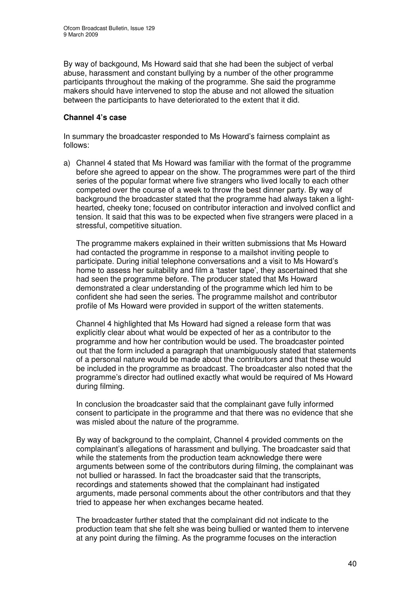By way of backgound, Ms Howard said that she had been the subject of verbal abuse, harassment and constant bullying by a number of the other programme participants throughout the making of the programme. She said the programme makers should have intervened to stop the abuse and not allowed the situation between the participants to have deteriorated to the extent that it did.

### **Channel 4's case**

In summary the broadcaster responded to Ms Howard's fairness complaint as follows:

a) Channel 4 stated that Ms Howard was familiar with the format of the programme before she agreed to appear on the show. The programmes were part of the third series of the popular format where five strangers who lived locally to each other competed over the course of a week to throw the best dinner party. By way of background the broadcaster stated that the programme had always taken a lighthearted, cheeky tone; focused on contributor interaction and involved conflict and tension. It said that this was to be expected when five strangers were placed in a stressful, competitive situation.

The programme makers explained in their written submissions that Ms Howard had contacted the programme in response to a mailshot inviting people to participate. During initial telephone conversations and a visit to Ms Howard's home to assess her suitability and film a 'taster tape', they ascertained that she had seen the programme before. The producer stated that Ms Howard demonstrated a clear understanding of the programme which led him to be confident she had seen the series. The programme mailshot and contributor profile of Ms Howard were provided in support of the written statements.

Channel 4 highlighted that Ms Howard had signed a release form that was explicitly clear about what would be expected of her as a contributor to the programme and how her contribution would be used. The broadcaster pointed out that the form included a paragraph that unambiguously stated that statements of a personal nature would be made about the contributors and that these would be included in the programme as broadcast. The broadcaster also noted that the programme's director had outlined exactly what would be required of Ms Howard during filming.

In conclusion the broadcaster said that the complainant gave fully informed consent to participate in the programme and that there was no evidence that she was misled about the nature of the programme.

By way of background to the complaint, Channel 4 provided comments on the complainant's allegations of harassment and bullying. The broadcaster said that while the statements from the production team acknowledge there were arguments between some of the contributors during filming, the complainant was not bullied or harassed. In fact the broadcaster said that the transcripts, recordings and statements showed that the complainant had instigated arguments, made personal comments about the other contributors and that they tried to appease her when exchanges became heated.

The broadcaster further stated that the complainant did not indicate to the production team that she felt she was being bullied or wanted them to intervene at any point during the filming. As the programme focuses on the interaction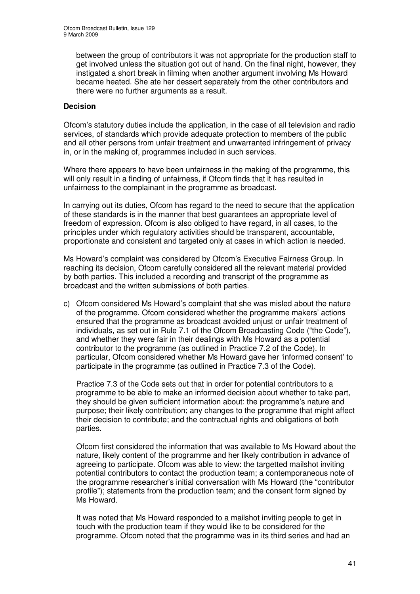between the group of contributors it was not appropriate for the production staff to get involved unless the situation got out of hand. On the final night, however, they instigated a short break in filming when another argument involving Ms Howard became heated. She ate her dessert separately from the other contributors and there were no further arguments as a result.

### **Decision**

Ofcom's statutory duties include the application, in the case of all television and radio services, of standards which provide adequate protection to members of the public and all other persons from unfair treatment and unwarranted infringement of privacy in, or in the making of, programmes included in such services.

Where there appears to have been unfairness in the making of the programme, this will only result in a finding of unfairness, if Ofcom finds that it has resulted in unfairness to the complainant in the programme as broadcast.

In carrying out its duties, Ofcom has regard to the need to secure that the application of these standards is in the manner that best guarantees an appropriate level of freedom of expression. Ofcom is also obliged to have regard, in all cases, to the principles under which regulatory activities should be transparent, accountable, proportionate and consistent and targeted only at cases in which action is needed.

Ms Howard's complaint was considered by Ofcom's Executive Fairness Group. In reaching its decision, Ofcom carefully considered all the relevant material provided by both parties. This included a recording and transcript of the programme as broadcast and the written submissions of both parties.

c) Ofcom considered Ms Howard's complaint that she was misled about the nature of the programme. Ofcom considered whether the programme makers' actions ensured that the programme as broadcast avoided unjust or unfair treatment of individuals, as set out in Rule 7.1 of the Ofcom Broadcasting Code ("the Code"), and whether they were fair in their dealings with Ms Howard as a potential contributor to the programme (as outlined in Practice 7.2 of the Code). In particular, Ofcom considered whether Ms Howard gave her 'informed consent' to participate in the programme (as outlined in Practice 7.3 of the Code).

Practice 7.3 of the Code sets out that in order for potential contributors to a programme to be able to make an informed decision about whether to take part, they should be given sufficient information about: the programme's nature and purpose; their likely contribution; any changes to the programme that might affect their decision to contribute; and the contractual rights and obligations of both parties.

Ofcom first considered the information that was available to Ms Howard about the nature, likely content of the programme and her likely contribution in advance of agreeing to participate. Ofcom was able to view: the targetted mailshot inviting potential contributors to contact the production team; a contemporaneous note of the programme researcher's initial conversation with Ms Howard (the "contributor profile"); statements from the production team; and the consent form signed by Ms Howard.

It was noted that Ms Howard responded to a mailshot inviting people to get in touch with the production team if they would like to be considered for the programme. Ofcom noted that the programme was in its third series and had an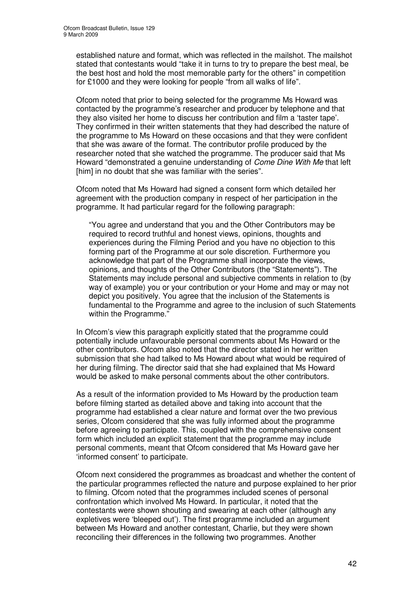established nature and format, which was reflected in the mailshot. The mailshot stated that contestants would "take it in turns to try to prepare the best meal, be the best host and hold the most memorable party for the others" in competition for £1000 and they were looking for people "from all walks of life".

Ofcom noted that prior to being selected for the programme Ms Howard was contacted by the programme's researcher and producer by telephone and that they also visited her home to discuss her contribution and film a 'taster tape'. They confirmed in their written statements that they had described the nature of the programme to Ms Howard on these occasions and that they were confident that she was aware of the format. The contributor profile produced by the researcher noted that she watched the programme. The producer said that Ms Howard "demonstrated a genuine understanding of *Come Dine With Me* that left [him] in no doubt that she was familiar with the series".

Ofcom noted that Ms Howard had signed a consent form which detailed her agreement with the production company in respect of her participation in the programme. It had particular regard for the following paragraph:

"You agree and understand that you and the Other Contributors may be required to record truthful and honest views, opinions, thoughts and experiences during the Filming Period and you have no objection to this forming part of the Programme at our sole discretion. Furthermore you acknowledge that part of the Programme shall incorporate the views, opinions, and thoughts of the Other Contributors (the "Statements"). The Statements may include personal and subjective comments in relation to (by way of example) you or your contribution or your Home and may or may not depict you positively. You agree that the inclusion of the Statements is fundamental to the Programme and agree to the inclusion of such Statements within the Programme."

In Ofcom's view this paragraph explicitly stated that the programme could potentially include unfavourable personal comments about Ms Howard or the other contributors. Ofcom also noted that the director stated in her written submission that she had talked to Ms Howard about what would be required of her during filming. The director said that she had explained that Ms Howard would be asked to make personal comments about the other contributors.

As a result of the information provided to Ms Howard by the production team before filming started as detailed above and taking into account that the programme had established a clear nature and format over the two previous series, Ofcom considered that she was fully informed about the programme before agreeing to participate. This, coupled with the comprehensive consent form which included an explicit statement that the programme may include personal comments, meant that Ofcom considered that Ms Howard gave her 'informed consent' to participate.

Ofcom next considered the programmes as broadcast and whether the content of the particular programmes reflected the nature and purpose explained to her prior to filming. Ofcom noted that the programmes included scenes of personal confrontation which involved Ms Howard. In particular, it noted that the contestants were shown shouting and swearing at each other (although any expletives were 'bleeped out'). The first programme included an argument between Ms Howard and another contestant, Charlie, but they were shown reconciling their differences in the following two programmes. Another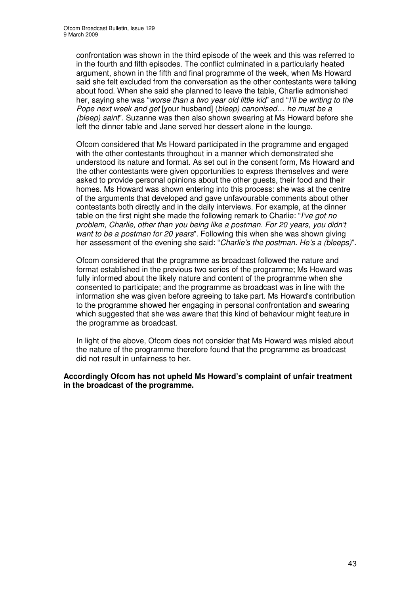confrontation was shown in the third episode of the week and this was referred to in the fourth and fifth episodes. The conflict culminated in a particularly heated argument, shown in the fifth and final programme of the week, when Ms Howard said she felt excluded from the conversation as the other contestants were talking about food. When she said she planned to leave the table, Charlie admonished her, saying she was "*worse than a two year old little kid*" and "*I'll be writing to the Pope next week and get* [your husband] (*bleep) canonised… he must be a (bleep) saint*". Suzanne was then also shown swearing at Ms Howard before she left the dinner table and Jane served her dessert alone in the lounge.

Ofcom considered that Ms Howard participated in the programme and engaged with the other contestants throughout in a manner which demonstrated she understood its nature and format. As set out in the consent form, Ms Howard and the other contestants were given opportunities to express themselves and were asked to provide personal opinions about the other guests, their food and their homes. Ms Howard was shown entering into this process: she was at the centre of the arguments that developed and gave unfavourable comments about other contestants both directly and in the daily interviews. For example, at the dinner table on the first night she made the following remark to Charlie: "*I've got no problem, Charlie, other than you being like a postman. For 20 years, you didn't want to be a postman for 20 years*". Following this when she was shown giving her assessment of the evening she said: "*Charlie's the postman. He's a (bleeps)*".

Ofcom considered that the programme as broadcast followed the nature and format established in the previous two series of the programme; Ms Howard was fully informed about the likely nature and content of the programme when she consented to participate; and the programme as broadcast was in line with the information she was given before agreeing to take part. Ms Howard's contribution to the programme showed her engaging in personal confrontation and swearing which suggested that she was aware that this kind of behaviour might feature in the programme as broadcast.

In light of the above, Ofcom does not consider that Ms Howard was misled about the nature of the programme therefore found that the programme as broadcast did not result in unfairness to her.

### **Accordingly Ofcom has not upheld Ms Howard's complaint of unfair treatment in the broadcast of the programme.**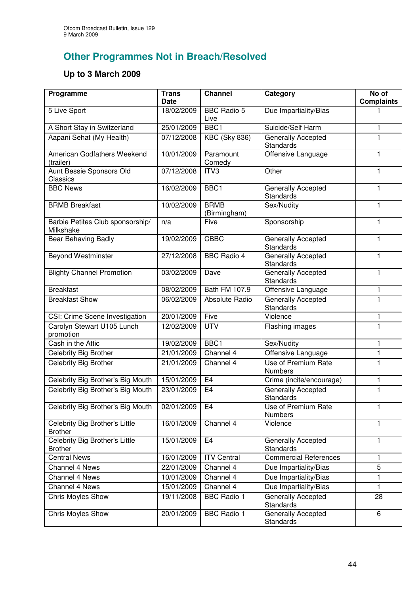# **Other Programmes Not in Breach/Resolved**

# **Up to 3 March 2009**

| Programme                                        | <b>Trans</b><br><b>Date</b> | <b>Channel</b>              | Category                                      | No of<br><b>Complaints</b> |
|--------------------------------------------------|-----------------------------|-----------------------------|-----------------------------------------------|----------------------------|
| 5 Live Sport                                     | 18/02/2009                  | <b>BBC Radio 5</b><br>Live  | Due Impartiality/Bias                         |                            |
| A Short Stay in Switzerland                      | 25/01/2009                  | BBC1                        | Suicide/Self Harm                             | 1                          |
| Aapani Sehat (My Health)                         | 07/12/2008                  | <b>KBC (Sky 836)</b>        | Generally Accepted<br>Standards               | 1                          |
| American Godfathers Weekend<br>(trailer)         | 10/01/2009                  | Paramount<br>Comedy         | Offensive Language                            | 1                          |
| Aunt Bessie Sponsors Old<br>Classics             | 07/12/2008                  | ITV3                        | Other                                         | 1                          |
| <b>BBC News</b>                                  | 16/02/2009                  | BBC1                        | Generally Accepted<br>Standards               | 1                          |
| <b>BRMB</b> Breakfast                            | 10/02/2009                  | <b>BRMB</b><br>(Birmingham) | Sex/Nudity                                    | 1                          |
| Barbie Petites Club sponsorship/<br>Milkshake    | n/a                         | Five                        | Sponsorship                                   | 1                          |
| Bear Behaving Badly                              | 19/02/2009                  | <b>CBBC</b>                 | Generally Accepted<br>Standards               | 1                          |
| <b>Beyond Westminster</b>                        | 27/12/2008                  | <b>BBC Radio 4</b>          | Generally Accepted<br>Standards               | 1                          |
| <b>Blighty Channel Promotion</b>                 | 03/02/2009                  | Dave                        | Generally Accepted<br><b>Standards</b>        | 1                          |
| <b>Breakfast</b>                                 | 08/02/2009                  | Bath FM 107.9               | Offensive Language                            | 1                          |
| <b>Breakfast Show</b>                            | 06/02/2009                  | Absolute Radio              | Generally Accepted<br>Standards               | 1                          |
| CSI: Crime Scene Investigation                   | 20/01/2009                  | Five                        | Violence                                      | $\mathbf{1}$               |
| Carolyn Stewart U105 Lunch<br>promotion          | 12/02/2009                  | <b>UTV</b>                  | Flashing images                               | 1                          |
| Cash in the Attic                                | 19/02/2009                  | BBC1                        | Sex/Nudity                                    | 1                          |
| Celebrity Big Brother                            | 21/01/2009                  | Channel 4                   | Offensive Language                            | 1                          |
| Celebrity Big Brother                            | 21/01/2009                  | Channel 4                   | Use of Premium Rate<br><b>Numbers</b>         | 1                          |
| Celebrity Big Brother's Big Mouth                | 15/01/2009                  | E <sub>4</sub>              | Crime (incite/encourage)                      | $\mathbf{1}$               |
| Celebrity Big Brother's Big Mouth                | 23/01/2009                  | E <sub>4</sub>              | <b>Generally Accepted</b><br><b>Standards</b> | 1                          |
| Celebrity Big Brother's Big Mouth                | 02/01/2009                  | E4                          | Use of Premium Rate<br><b>Numbers</b>         | 1                          |
| Celebrity Big Brother's Little<br><b>Brother</b> | 16/01/2009                  | Channel 4                   | Violence                                      | $\mathbf{1}$               |
| Celebrity Big Brother's Little<br><b>Brother</b> | 15/01/2009                  | E <sub>4</sub>              | Generally Accepted<br><b>Standards</b>        | 1                          |
| <b>Central News</b>                              | 16/01/2009                  | <b>ITV Central</b>          | <b>Commercial References</b>                  | 1                          |
| Channel 4 News                                   | 22/01/2009                  | Channel 4                   | Due Impartiality/Bias                         | 5                          |
| Channel 4 News                                   | 10/01/2009                  | Channel 4                   | Due Impartiality/Bias                         | 1                          |
| Channel 4 News                                   | 15/01/2009                  | Channel 4                   | Due Impartiality/Bias                         | $\mathbf{1}$               |
| <b>Chris Moyles Show</b>                         | 19/11/2008                  | <b>BBC Radio 1</b>          | Generally Accepted<br><b>Standards</b>        | 28                         |
| Chris Moyles Show                                | 20/01/2009                  | <b>BBC Radio 1</b>          | Generally Accepted<br>Standards               | 6                          |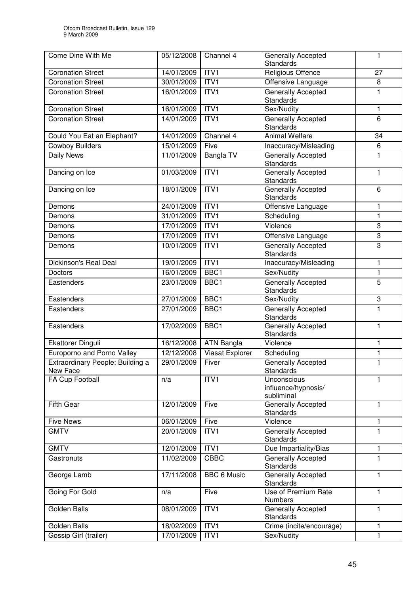| Come Dine With Me                            | 05/12/2008 | Channel 4          | Generally Accepted                               | 1            |
|----------------------------------------------|------------|--------------------|--------------------------------------------------|--------------|
| <b>Coronation Street</b>                     | 14/01/2009 | ITV <sub>1</sub>   | <b>Standards</b><br><b>Religious Offence</b>     | 27           |
| <b>Coronation Street</b>                     | 30/01/2009 | ITVI               | Offensive Language                               | 8            |
| <b>Coronation Street</b>                     | 16/01/2009 | ITV1               | <b>Generally Accepted</b>                        | 1            |
|                                              |            |                    | <b>Standards</b>                                 |              |
| <b>Coronation Street</b>                     | 16/01/2009 | ITV <sub>1</sub>   | Sex/Nudity                                       | 1            |
| <b>Coronation Street</b>                     | 14/01/2009 | ITV1               | Generally Accepted                               | 6            |
|                                              |            |                    | <b>Standards</b>                                 |              |
| Could You Eat an Elephant?                   | 14/01/2009 | Channel 4          | <b>Animal Welfare</b>                            | 34           |
| <b>Cowboy Builders</b>                       | 15/01/2009 | Five               | Inaccuracy/Misleading                            | 6            |
| <b>Daily News</b>                            | 11/01/2009 | <b>Bangla TV</b>   | <b>Generally Accepted</b><br><b>Standards</b>    | 1            |
| Dancing on Ice                               | 01/03/2009 | ITVI               | Generally Accepted<br><b>Standards</b>           | 1            |
| Dancing on Ice                               | 18/01/2009 | ITV <sub>1</sub>   | <b>Generally Accepted</b><br>Standards           | 6            |
| Demons                                       | 24/01/2009 | ITVI               | Offensive Language                               | 1            |
| Demons                                       | 31/01/2009 | ITV1               | Scheduling                                       | 1            |
| Demons                                       | 17/01/2009 | ITVI               | Violence                                         | 3            |
| Demons                                       | 17/01/2009 | ITV <sub>1</sub>   | Offensive Language                               | 3            |
| Demons                                       | 10/01/2009 | ITV1               | <b>Generally Accepted</b><br>Standards           | 3            |
| Dickinson's Real Deal                        | 19/01/2009 | ITV <sub>1</sub>   | Inaccuracy/Misleading                            | 1            |
| <b>Doctors</b>                               | 16/01/2009 | BBC1               | Sex/Nudity                                       | $\mathbf{1}$ |
| Eastenders                                   | 23/01/2009 | BBC1               | <b>Generally Accepted</b><br>Standards           | 5            |
| Eastenders                                   | 27/01/2009 | BBC1               | Sex/Nudity                                       | 3            |
| Eastenders                                   | 27/01/2009 | BBC1               | Generally Accepted<br><b>Standards</b>           | 1            |
| Eastenders                                   | 17/02/2009 | BBC1               | <b>Generally Accepted</b><br><b>Standards</b>    | 1            |
| Ekattorer Dinguli                            | 16/12/2008 | <b>ATN Bangla</b>  | Violence                                         | 1            |
| Europorno and Porno Valley                   | 12/12/2008 | Viasat Explorer    | Scheduling                                       | $\mathbf{1}$ |
| Extraordinary People: Building a<br>New Face | 29/01/2009 | Fiver              | Generally Accepted<br>Standards                  | $\mathbf{1}$ |
| FA Cup Football                              | n/a        | ITVI               | Unconscious<br>influence/hypnosis/<br>subliminal | 1            |
| <b>Fifth Gear</b>                            | 12/01/2009 | Five               | <b>Generally Accepted</b><br>Standards           | $\mathbf{1}$ |
| <b>Five News</b>                             | 06/01/2009 | Five               | Violence                                         | 1            |
| <b>GMTV</b>                                  | 20/01/2009 | ITV1               | Generally Accepted<br>Standards                  | 1            |
| <b>GMTV</b>                                  | 12/01/2009 | ITVI               | Due Impartiality/Bias                            | $\mathbf{1}$ |
| Gastronuts                                   | 11/02/2009 | <b>CBBC</b>        | Generally Accepted<br><b>Standards</b>           | 1            |
| George Lamb                                  | 17/11/2008 | <b>BBC 6 Music</b> | Generally Accepted<br><b>Standards</b>           | 1            |
| Going For Gold                               | n/a        | Five               | Use of Premium Rate<br><b>Numbers</b>            | 1            |
| <b>Golden Balls</b>                          | 08/01/2009 | ITV1               | Generally Accepted<br><b>Standards</b>           | 1            |
| Golden Balls                                 | 18/02/2009 | <b>ITV1</b>        | Crime (incite/encourage)                         | 1            |
| Gossip Girl (trailer)                        | 17/01/2009 | ITV1               | Sex/Nudity                                       | 1            |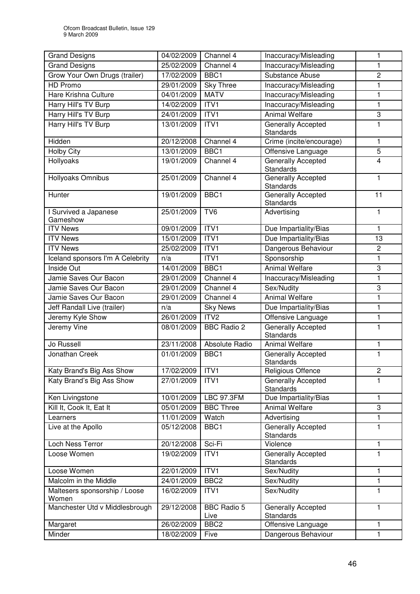| <b>Grand Designs</b>                   | 04/02/2009 | Channel 4                  | Inaccuracy/Misleading                         | 1                       |
|----------------------------------------|------------|----------------------------|-----------------------------------------------|-------------------------|
| <b>Grand Designs</b>                   | 25/02/2009 | Channel 4                  | Inaccuracy/Misleading                         | 1                       |
| Grow Your Own Drugs (trailer)          | 17/02/2009 | BBC1                       | Substance Abuse                               | $\overline{c}$          |
| HD Promo                               | 29/01/2009 | <b>Sky Three</b>           | Inaccuracy/Misleading                         | 1                       |
| Hare Krishna Culture                   | 04/01/2009 | <b>MATV</b>                | Inaccuracy/Misleading                         | $\mathbf{1}$            |
| Harry Hill's TV Burp                   | 14/02/2009 | ITVI                       | Inaccuracy/Misleading                         | 1                       |
| Harry Hill's TV Burp                   | 24/01/2009 | ITV1                       | <b>Animal Welfare</b>                         | 3                       |
| Harry Hill's TV Burp                   | 13/01/2009 | ITV1                       | <b>Generally Accepted</b>                     | 1                       |
|                                        |            |                            | Standards                                     |                         |
| Hidden                                 | 20/12/2008 | Channel 4                  | Crime (incite/encourage)                      | 1                       |
| <b>Holby City</b>                      | 13/01/2009 | BBC1                       | Offensive Language                            | 5                       |
| Hollyoaks                              | 19/01/2009 | Channel 4                  | <b>Generally Accepted</b><br><b>Standards</b> | $\overline{\mathbf{4}}$ |
| Hollyoaks Omnibus                      | 25/01/2009 | Channel 4                  | Generally Accepted<br>Standards               | 1                       |
| Hunter                                 | 19/01/2009 | BBC1                       | Generally Accepted<br>Standards               | 11                      |
| I Survived a Japanese                  | 25/01/2009 | $\overline{\text{TV6}}$    | Advertising                                   | $\mathbf{1}$            |
| Gameshow                               |            |                            |                                               |                         |
| <b>ITV News</b>                        | 09/01/2009 | ITV <sub>1</sub>           | Due Impartiality/Bias                         | 1                       |
| <b>ITV News</b>                        | 15/01/2009 | ITV1                       | Due Impartiality/Bias                         | 13                      |
| <b>ITV News</b>                        | 25/02/2009 | ITV1                       | Dangerous Behaviour                           | $\overline{c}$          |
| Iceland sponsors I'm A Celebrity       | n/a        | ITV1                       | Sponsorship                                   | 1                       |
| Inside Out                             | 14/01/2009 | BBC1                       | <b>Animal Welfare</b>                         | 3                       |
| Jamie Saves Our Bacon                  | 29/01/2009 | Channel 4                  | Inaccuracy/Misleading                         | 1                       |
| Jamie Saves Our Bacon                  | 29/01/2009 | Channel 4                  | Sex/Nudity                                    | 3                       |
| Jamie Saves Our Bacon                  | 29/01/2009 | Channel 4                  | Animal Welfare                                | 1                       |
| Jeff Randall Live (trailer)            | n/a        | <b>Sky News</b>            | Due Impartiality/Bias                         | 1                       |
| Jeremy Kyle Show                       | 26/01/2009 | ITV2                       | Offensive Language                            | 1                       |
| <b>Jeremy Vine</b>                     | 08/01/2009 | <b>BBC Radio 2</b>         | <b>Generally Accepted</b><br><b>Standards</b> | 1                       |
| Jo Russell                             | 23/11/2008 | Absolute Radio             | <b>Animal Welfare</b>                         | 1                       |
| Jonathan Creek                         | 01/01/2009 | BBC1                       | Generally Accepted<br>Standards               | 1                       |
| Katy Brand's Big Ass Show              | 17/02/2009 | ITV1                       | Religious Offence                             | $\overline{c}$          |
| Katy Brand's Big Ass Show              | 27/01/2009 | ITV1                       | Generally Accepted<br>Standards               | 1                       |
| Ken Livingstone                        | 10/01/2009 | <b>LBC 97.3FM</b>          | Due Impartiality/Bias                         | $\mathbf{1}$            |
| Kill It, Cook It, Eat It               | 05/01/2009 | <b>BBC Three</b>           | <b>Animal Welfare</b>                         | 3                       |
| Learners                               | 11/01/2009 | Watch                      | Advertising                                   | 1                       |
| Live at the Apollo                     | 05/12/2008 | BBC1                       | <b>Generally Accepted</b><br>Standards        | 1                       |
| Loch Ness Terror                       | 20/12/2008 | Sci-Fi                     | Violence                                      | $\mathbf{1}$            |
| Loose Women                            | 19/02/2009 | ITV1                       | Generally Accepted<br>Standards               | 1                       |
| Loose Women                            | 22/01/2009 | ITV1                       | Sex/Nudity                                    | 1                       |
| Malcolm in the Middle                  | 24/01/2009 | BBC <sub>2</sub>           | Sex/Nudity                                    | 1                       |
| Maltesers sponsorship / Loose<br>Women | 16/02/2009 | ITV1                       | Sex/Nudity                                    | 1                       |
| Manchester Utd v Middlesbrough         | 29/12/2008 | <b>BBC Radio 5</b><br>Live | Generally Accepted<br>Standards               | 1                       |
| Margaret                               | 26/02/2009 | BBC <sub>2</sub>           | Offensive Language                            | $\mathbf{1}$            |
| Minder                                 | 18/02/2009 | Five                       | Dangerous Behaviour                           | 1                       |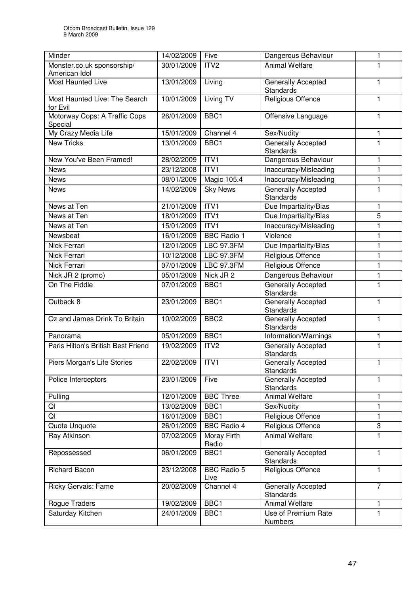| Minder                                      | 14/02/2009 | Five                        | Dangerous Behaviour                           | 1              |
|---------------------------------------------|------------|-----------------------------|-----------------------------------------------|----------------|
| Monster.co.uk sponsorship/<br>American Idol | 30/01/2009 | ITV <sub>2</sub>            | <b>Animal Welfare</b>                         | 1              |
| <b>Most Haunted Live</b>                    | 13/01/2009 | Living                      | Generally Accepted<br>Standards               | 1              |
| Most Haunted Live: The Search<br>for Evil   | 10/01/2009 | <b>Living TV</b>            | Religious Offence                             | $\mathbf{1}$   |
| Motorway Cops: A Traffic Cops<br>Special    | 26/01/2009 | BBC1                        | Offensive Language                            | $\mathbf{1}$   |
| My Crazy Media Life                         | 15/01/2009 | Channel 4                   | Sex/Nudity                                    | $\mathbf{1}$   |
| <b>New Tricks</b>                           | 13/01/2009 | BBC1                        | Generally Accepted<br><b>Standards</b>        | 1              |
| New You've Been Framed!                     | 28/02/2009 | ITV1                        | Dangerous Behaviour                           | $\mathbf{1}$   |
| <b>News</b>                                 | 23/12/2008 | ITV1                        | Inaccuracy/Misleading                         | 1              |
| <b>News</b>                                 | 08/01/2009 | Magic 105.4                 | Inaccuracy/Misleading                         | $\mathbf{1}$   |
| <b>News</b>                                 | 14/02/2009 | <b>Sky News</b>             | <b>Generally Accepted</b><br><b>Standards</b> | 1              |
| News at Ten                                 | 21/01/2009 | ITVI                        | Due Impartiality/Bias                         | 1              |
| News at Ten                                 | 18/01/2009 | ITV1                        | Due Impartiality/Bias                         | 5              |
| News at Ten                                 | 15/01/2009 | ITV <sub>1</sub>            | Inaccuracy/Misleading                         | $\mathbf{1}$   |
| Newsbeat                                    | 16/01/2009 | <b>BBC</b> Radio 1          | Violence                                      | 1              |
| Nick Ferrari                                | 12/01/2009 | <b>LBC 97.3FM</b>           | Due Impartiality/Bias                         | 1              |
| <b>Nick Ferrari</b>                         | 10/12/2008 | <b>LBC 97.3FM</b>           | <b>Religious Offence</b>                      | 1              |
| Nick Ferrari                                | 07/01/2009 | <b>LBC 97.3FM</b>           | Religious Offence                             | 1              |
| Nick JR 2 (promo)                           | 05/01/2009 | Nick JR 2                   | Dangerous Behaviour                           | 1              |
| On The Fiddle                               | 07/01/2009 | BBC1                        | <b>Generally Accepted</b><br><b>Standards</b> | $\mathbf{1}$   |
| Outback 8                                   | 23/01/2009 | BBC1                        | <b>Generally Accepted</b><br><b>Standards</b> | $\mathbf{1}$   |
| Oz and James Drink To Britain               | 10/02/2009 | BBC <sub>2</sub>            | Generally Accepted<br><b>Standards</b>        | $\mathbf{1}$   |
| Panorama                                    | 05/01/2009 | BBC <sub>1</sub>            | Information/Warnings                          | $\mathbf{1}$   |
| Paris Hilton's British Best Friend          | 19/02/2009 | ITV <sub>2</sub>            | <b>Generally Accepted</b><br><b>Standards</b> | $\mathbf{1}$   |
| Piers Morgan's Life Stories                 | 22/02/2009 | ITV <sub>1</sub>            | <b>Generally Accepted</b><br>Standards        | 1              |
| Police Interceptors                         | 23/01/2009 | Five                        | Generally Accepted<br><b>Standards</b>        | 1              |
| Pulling                                     | 12/01/2009 | <b>BBC Three</b>            | <b>Animal Welfare</b>                         | $\mathbf{1}$   |
| QI                                          | 13/02/2009 | BBC1                        | Sex/Nudity                                    | 1              |
| QI                                          | 16/01/2009 | BBC1                        | Religious Offence                             | $\mathbf{1}$   |
| Quote Unquote                               | 26/01/2009 | <b>BBC Radio 4</b>          | Religious Offence                             | 3              |
| Ray Atkinson                                | 07/02/2009 | <b>Moray Firth</b><br>Radio | <b>Animal Welfare</b>                         | 1              |
| Repossessed                                 | 06/01/2009 | BBC1                        | Generally Accepted<br><b>Standards</b>        | 1              |
| <b>Richard Bacon</b>                        | 23/12/2008 | <b>BBC Radio 5</b><br>Live  | Religious Offence                             | $\mathbf{1}$   |
| Ricky Gervais: Fame                         | 20/02/2009 | Channel 4                   | Generally Accepted<br><b>Standards</b>        | $\overline{7}$ |
| Rogue Traders                               | 19/02/2009 | BBC1                        | <b>Animal Welfare</b>                         | 1              |
| Saturday Kitchen                            | 24/01/2009 | BBC1                        | Use of Premium Rate<br><b>Numbers</b>         | $\mathbf{1}$   |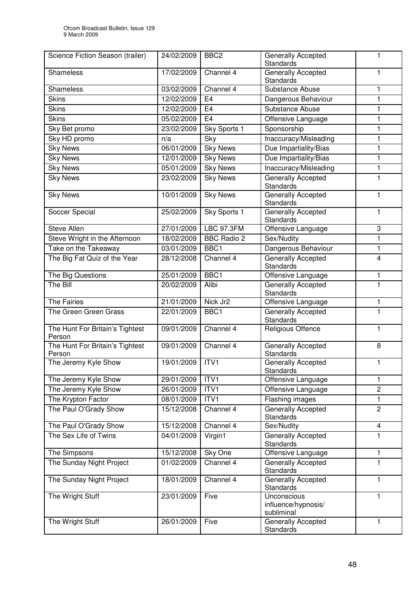| Science Fiction Season (trailer)          | 24/02/2009 | BBC <sub>2</sub>     | Generally Accepted<br>Standards                  | 1              |
|-------------------------------------------|------------|----------------------|--------------------------------------------------|----------------|
| Shameless                                 | 17/02/2009 | Channel 4            | Generally Accepted<br><b>Standards</b>           | 1              |
| <b>Shameless</b>                          | 03/02/2009 | Channel 4            | Substance Abuse                                  | 1              |
| <b>Skins</b>                              | 12/02/2009 | E <sub>4</sub>       | Dangerous Behaviour                              | $\mathbf{1}$   |
| <b>Skins</b>                              | 12/02/2009 | E <sub>4</sub>       | Substance Abuse                                  | 1              |
| <b>Skins</b>                              | 05/02/2009 | E <sub>4</sub>       | Offensive Language                               | 1              |
| Sky Bet promo                             | 23/02/2009 | Sky Sports 1         | Sponsorship                                      | $\mathbf{1}$   |
| Sky HD promo                              | n/a        | Sky                  | Inaccuracy/Misleading                            | $\mathbf{1}$   |
| <b>Sky News</b>                           | 06/01/2009 | <b>Sky News</b>      | Due Impartiality/Bias                            | 1              |
| <b>Sky News</b>                           | 12/01/2009 | <b>Sky News</b>      | Due Impartiality/Bias                            | 1              |
| <b>Sky News</b>                           | 05/01/2009 | <b>Sky News</b>      | Inaccuracy/Misleading                            | 1              |
| <b>Sky News</b>                           | 23/02/2009 | <b>Sky News</b>      | Generally Accepted<br><b>Standards</b>           | 1              |
| <b>Sky News</b>                           | 10/01/2009 | <b>Sky News</b>      | Generally Accepted<br><b>Standards</b>           | $\mathbf{1}$   |
| Soccer Special                            | 25/02/2009 | Sky Sports 1         | <b>Generally Accepted</b><br>Standards           | $\mathbf{1}$   |
| <b>Steve Allen</b>                        | 27/01/2009 | <b>LBC 97.3FM</b>    | Offensive Language                               | 3              |
| Steve Wright in the Afternoon             | 18/02/2009 | <b>BBC Radio 2</b>   | Sex/Nudity                                       | 1              |
| Take on the Takeaway                      | 03/01/2009 | BBC1                 | Dangerous Behaviour                              | 1              |
| The Big Fat Quiz of the Year              | 28/12/2008 | Channel 4            | <b>Generally Accepted</b><br><b>Standards</b>    | 4              |
| The Big Questions                         | 25/01/2009 | BBC1                 | Offensive Language                               | 1              |
| The Bill                                  | 20/02/2009 | Alibi                | Generally Accepted<br><b>Standards</b>           | 1              |
| <b>The Fairies</b>                        | 21/01/2009 | Nick Jr <sub>2</sub> | Offensive Language                               | 1              |
| The Green Green Grass                     | 22/01/2009 | BBC1                 | <b>Generally Accepted</b><br>Standards           | $\mathbf{1}$   |
| The Hunt For Britain's Tightest<br>Person | 09/01/2009 | Channel 4            | Religious Offence                                | $\mathbf{1}$   |
| The Hunt For Britain's Tightest<br>Person | 09/01/2009 | Channel 4            | <b>Generally Accepted</b><br><b>Standards</b>    | 8              |
| The Jeremy Kyle Show                      | 19/01/2009 | ITV <sub>1</sub>     | Generally Accepted<br><b>Standards</b>           | 1              |
| The Jeremy Kyle Show                      | 29/01/2009 | ITVI                 | Offensive Language                               | 1              |
| The Jeremy Kyle Show                      | 26/01/2009 | ITV1                 | Offensive Language                               | $\overline{c}$ |
| The Krypton Factor                        | 08/01/2009 | ITV1                 | Flashing images                                  | $\mathbf{1}$   |
| The Paul O'Grady Show                     | 15/12/2008 | Channel 4            | <b>Generally Accepted</b><br><b>Standards</b>    | 2              |
| The Paul O'Grady Show                     | 15/12/2008 | Channel 4            | Sex/Nudity                                       | $\overline{4}$ |
| The Sex Life of Twins                     | 04/01/2009 | Virgin1              | Generally Accepted<br><b>Standards</b>           | 1              |
| The Simpsons                              | 15/12/2008 | Sky One              | Offensive Language                               | $\mathbf{1}$   |
| The Sunday Night Project                  | 01/02/2009 | Channel 4            | Generally Accepted<br>Standards                  | 1              |
| The Sunday Night Project                  | 18/01/2009 | Channel 4            | Generally Accepted<br>Standards                  | 1              |
| The Wright Stuff                          | 23/01/2009 | Five                 | Unconscious<br>influence/hypnosis/<br>subliminal | $\mathbf{1}$   |
| The Wright Stuff                          | 26/01/2009 | Five                 | Generally Accepted<br>Standards                  | 1              |